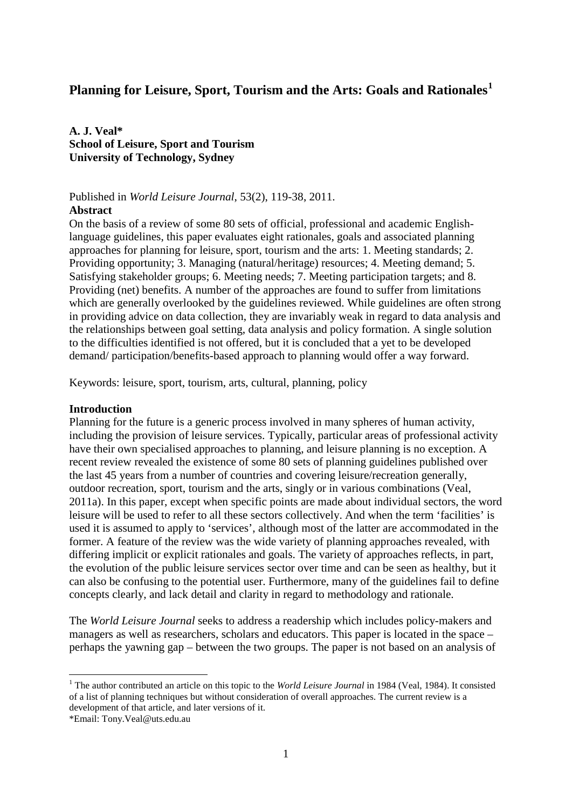## **Planning for Leisure, Sport, Tourism and the Arts: Goals and Rationales[1](#page-0-0)**

**A. J. Veal\* School of Leisure, Sport and Tourism University of Technology, Sydney**

## Published in *World Leisure Journal*, 53(2), 119-38, 2011.

## **Abstract**

On the basis of a review of some 80 sets of official, professional and academic Englishlanguage guidelines, this paper evaluates eight rationales, goals and associated planning approaches for planning for leisure, sport, tourism and the arts: 1. Meeting standards; 2. Providing opportunity; 3. Managing (natural/heritage) resources; 4. Meeting demand; 5. Satisfying stakeholder groups; 6. Meeting needs; 7. Meeting participation targets; and 8. Providing (net) benefits. A number of the approaches are found to suffer from limitations which are generally overlooked by the guidelines reviewed. While guidelines are often strong in providing advice on data collection, they are invariably weak in regard to data analysis and the relationships between goal setting, data analysis and policy formation. A single solution to the difficulties identified is not offered, but it is concluded that a yet to be developed demand/ participation/benefits-based approach to planning would offer a way forward.

Keywords: leisure, sport, tourism, arts, cultural, planning, policy

#### **Introduction**

Planning for the future is a generic process involved in many spheres of human activity, including the provision of leisure services. Typically, particular areas of professional activity have their own specialised approaches to planning, and leisure planning is no exception. A recent review revealed the existence of some 80 sets of planning guidelines published over the last 45 years from a number of countries and covering leisure/recreation generally, outdoor recreation, sport, tourism and the arts, singly or in various combinations (Veal, 2011a). In this paper, except when specific points are made about individual sectors, the word leisure will be used to refer to all these sectors collectively. And when the term 'facilities' is used it is assumed to apply to 'services', although most of the latter are accommodated in the former. A feature of the review was the wide variety of planning approaches revealed, with differing implicit or explicit rationales and goals. The variety of approaches reflects, in part, the evolution of the public leisure services sector over time and can be seen as healthy, but it can also be confusing to the potential user. Furthermore, many of the guidelines fail to define concepts clearly, and lack detail and clarity in regard to methodology and rationale.

The *World Leisure Journal* seeks to address a readership which includes policy-makers and managers as well as researchers, scholars and educators. This paper is located in the space – perhaps the yawning gap – between the two groups. The paper is not based on an analysis of

<span id="page-0-0"></span><sup>&</sup>lt;sup>1</sup> The author contributed an article on this topic to the *World Leisure Journal* in 1984 (Veal, 1984). It consisted of a list of planning techniques but without consideration of overall approaches. The current review is a development of that article, and later versions of it.

<sup>\*</sup>Email: Tony.Veal@uts.edu.au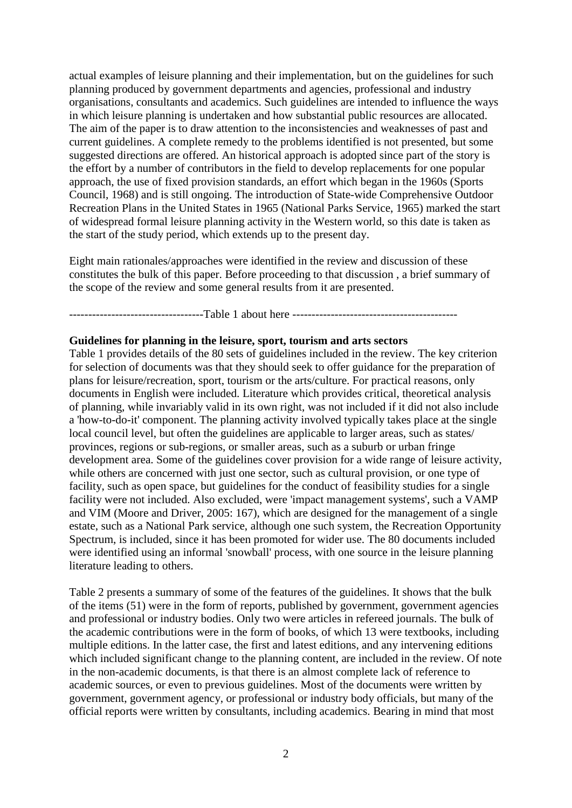actual examples of leisure planning and their implementation, but on the guidelines for such planning produced by government departments and agencies, professional and industry organisations, consultants and academics. Such guidelines are intended to influence the ways in which leisure planning is undertaken and how substantial public resources are allocated. The aim of the paper is to draw attention to the inconsistencies and weaknesses of past and current guidelines. A complete remedy to the problems identified is not presented, but some suggested directions are offered. An historical approach is adopted since part of the story is the effort by a number of contributors in the field to develop replacements for one popular approach, the use of fixed provision standards, an effort which began in the 1960s (Sports Council, 1968) and is still ongoing. The introduction of State-wide Comprehensive Outdoor Recreation Plans in the United States in 1965 (National Parks Service, 1965) marked the start of widespread formal leisure planning activity in the Western world, so this date is taken as the start of the study period, which extends up to the present day.

Eight main rationales/approaches were identified in the review and discussion of these constitutes the bulk of this paper. Before proceeding to that discussion , a brief summary of the scope of the review and some general results from it are presented.

#### -----------------------------------Table 1 about here -------------------------------------------

#### **Guidelines for planning in the leisure, sport, tourism and arts sectors**

Table 1 provides details of the 80 sets of guidelines included in the review. The key criterion for selection of documents was that they should seek to offer guidance for the preparation of plans for leisure/recreation, sport, tourism or the arts/culture. For practical reasons, only documents in English were included. Literature which provides critical, theoretical analysis of planning, while invariably valid in its own right, was not included if it did not also include a 'how-to-do-it' component. The planning activity involved typically takes place at the single local council level, but often the guidelines are applicable to larger areas, such as states/ provinces, regions or sub-regions, or smaller areas, such as a suburb or urban fringe development area. Some of the guidelines cover provision for a wide range of leisure activity, while others are concerned with just one sector, such as cultural provision, or one type of facility, such as open space, but guidelines for the conduct of feasibility studies for a single facility were not included. Also excluded, were 'impact management systems', such a VAMP and VIM (Moore and Driver, 2005: 167), which are designed for the management of a single estate, such as a National Park service, although one such system, the Recreation Opportunity Spectrum, is included, since it has been promoted for wider use. The 80 documents included were identified using an informal 'snowball' process, with one source in the leisure planning literature leading to others.

Table 2 presents a summary of some of the features of the guidelines. It shows that the bulk of the items (51) were in the form of reports, published by government, government agencies and professional or industry bodies. Only two were articles in refereed journals. The bulk of the academic contributions were in the form of books, of which 13 were textbooks, including multiple editions. In the latter case, the first and latest editions, and any intervening editions which included significant change to the planning content, are included in the review. Of note in the non-academic documents, is that there is an almost complete lack of reference to academic sources, or even to previous guidelines. Most of the documents were written by government, government agency, or professional or industry body officials, but many of the official reports were written by consultants, including academics. Bearing in mind that most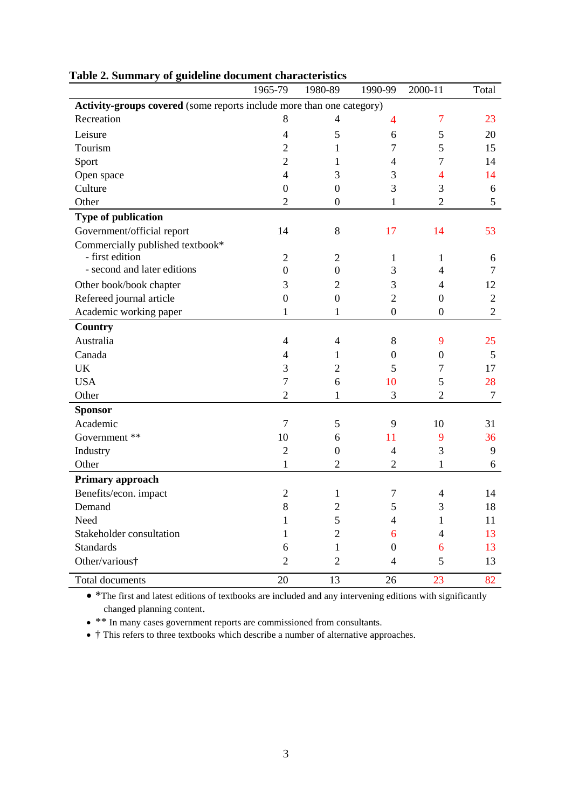|                                                                       | 1965-79                  | 1980-89                  | 1990-99                  | 2000-11          | Total          |
|-----------------------------------------------------------------------|--------------------------|--------------------------|--------------------------|------------------|----------------|
| Activity-groups covered (some reports include more than one category) |                          |                          |                          |                  |                |
| Recreation                                                            | 8                        | $\overline{\mathcal{A}}$ | $\overline{4}$           | $\overline{7}$   | 23             |
| Leisure                                                               | $\overline{\mathcal{A}}$ | 5                        | 6                        | 5                | 20             |
| Tourism                                                               | $\sqrt{2}$               | 1                        | 7                        | 5                | 15             |
| Sport                                                                 | $\overline{2}$           | 1                        | 4                        | 7                | 14             |
| Open space                                                            | $\overline{4}$           | 3                        | 3                        | 4                | 14             |
| Culture                                                               | $\boldsymbol{0}$         | $\boldsymbol{0}$         | 3                        | 3                | 6              |
| Other                                                                 | $\overline{2}$           | $\boldsymbol{0}$         | 1                        | $\overline{c}$   | 5              |
| <b>Type of publication</b>                                            |                          |                          |                          |                  |                |
| Government/official report                                            | 14                       | $\,8\,$                  | 17                       | 14               | 53             |
| Commercially published textbook*                                      |                          |                          |                          |                  |                |
| - first edition                                                       | $\overline{c}$           | $\sqrt{2}$               | 1                        | 1                | 6              |
| - second and later editions                                           | $\boldsymbol{0}$         | $\boldsymbol{0}$         | 3                        | $\overline{4}$   | 7              |
| Other book/book chapter                                               | 3                        | $\overline{2}$           | 3                        | 4                | 12             |
| Refereed journal article                                              | $\boldsymbol{0}$         | $\boldsymbol{0}$         | $\mathfrak{2}$           | $\boldsymbol{0}$ | $\mathfrak{2}$ |
| Academic working paper                                                | 1                        | $\mathbf{1}$             | $\boldsymbol{0}$         | $\boldsymbol{0}$ | $\overline{c}$ |
| <b>Country</b>                                                        |                          |                          |                          |                  |                |
| Australia                                                             | 4                        | $\overline{\mathcal{A}}$ | $8\,$                    | 9                | 25             |
| Canada                                                                | 4                        | 1                        | $\mathbf{0}$             | $\boldsymbol{0}$ | 5              |
| <b>UK</b>                                                             | 3                        | $\mathfrak{2}$           | 5                        | 7                | 17             |
| <b>USA</b>                                                            | 7                        | 6                        | 10                       | 5                | 28             |
| Other                                                                 | $\overline{2}$           | 1                        | 3                        | $\overline{2}$   | $\overline{7}$ |
| <b>Sponsor</b>                                                        |                          |                          |                          |                  |                |
| Academic                                                              | $\tau$                   | 5                        | 9                        | 10               | 31             |
| Government **                                                         | 10                       | 6                        | 11                       | 9                | 36             |
| Industry                                                              | $\overline{2}$           | $\boldsymbol{0}$         | $\overline{4}$           | 3                | 9              |
| Other                                                                 | 1                        | $\overline{2}$           | $\overline{2}$           | 1                | 6              |
| Primary approach                                                      |                          |                          |                          |                  |                |
| Benefits/econ. impact                                                 | $\sqrt{2}$               | $\mathbf{1}$             | 7                        | $\overline{4}$   | 14             |
| Demand                                                                | 8                        | $\overline{c}$           | 5                        | 3                | 18             |
| Need                                                                  | 1                        | 5                        | $\overline{\mathcal{A}}$ | 1                | 11             |
| Stakeholder consultation                                              | $\mathbf{1}$             | $\mathbf{2}$             | 6                        | $\overline{4}$   | 13             |
| <b>Standards</b>                                                      | 6                        | $\mathbf{1}$             | $\boldsymbol{0}$         | 6                | 13             |
| Other/various†                                                        | $\mathfrak{2}$           | $\sqrt{2}$               | $\overline{4}$           | 5                | 13             |
| Total documents                                                       | 20                       | 13                       | 26                       | 23               | 82             |

## **Table 2. Summary of guideline document characteristics**

• \*The first and latest editions of textbooks are included and any intervening editions with significantly changed planning content.

• \*\* In many cases government reports are commissioned from consultants.

• † This refers to three textbooks which describe a number of alternative approaches.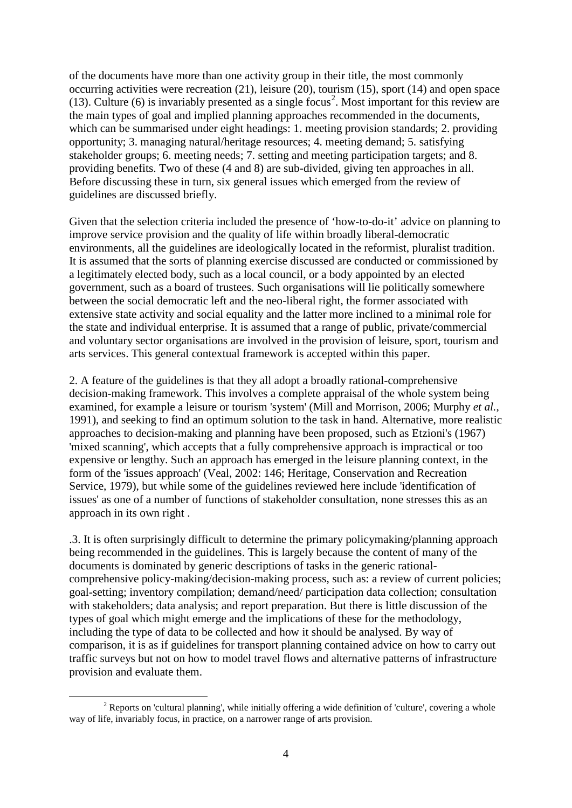of the documents have more than one activity group in their title, the most commonly occurring activities were recreation (21), leisure (20), tourism (15), sport (14) and open space (13). Culture  $(6)$  is invariably presented as a single focus<sup>[2](#page-3-0)</sup>. Most important for this review are the main types of goal and implied planning approaches recommended in the documents, which can be summarised under eight headings: 1. meeting provision standards; 2. providing opportunity; 3. managing natural/heritage resources; 4. meeting demand; 5. satisfying stakeholder groups; 6. meeting needs; 7. setting and meeting participation targets; and 8. providing benefits. Two of these (4 and 8) are sub-divided, giving ten approaches in all. Before discussing these in turn, six general issues which emerged from the review of guidelines are discussed briefly.

Given that the selection criteria included the presence of 'how-to-do-it' advice on planning to improve service provision and the quality of life within broadly liberal-democratic environments, all the guidelines are ideologically located in the reformist, pluralist tradition. It is assumed that the sorts of planning exercise discussed are conducted or commissioned by a legitimately elected body, such as a local council, or a body appointed by an elected government, such as a board of trustees. Such organisations will lie politically somewhere between the social democratic left and the neo-liberal right, the former associated with extensive state activity and social equality and the latter more inclined to a minimal role for the state and individual enterprise. It is assumed that a range of public, private/commercial and voluntary sector organisations are involved in the provision of leisure, sport, tourism and arts services. This general contextual framework is accepted within this paper.

2. A feature of the guidelines is that they all adopt a broadly rational-comprehensive decision-making framework. This involves a complete appraisal of the whole system being examined, for example a leisure or tourism 'system' (Mill and Morrison, 2006; Murphy *et al.*, 1991), and seeking to find an optimum solution to the task in hand. Alternative, more realistic approaches to decision-making and planning have been proposed, such as Etzioni's (1967) 'mixed scanning', which accepts that a fully comprehensive approach is impractical or too expensive or lengthy. Such an approach has emerged in the leisure planning context, in the form of the 'issues approach' (Veal, 2002: 146; Heritage, Conservation and Recreation Service, 1979), but while some of the guidelines reviewed here include 'identification of issues' as one of a number of functions of stakeholder consultation, none stresses this as an approach in its own right .

.3. It is often surprisingly difficult to determine the primary policymaking/planning approach being recommended in the guidelines. This is largely because the content of many of the documents is dominated by generic descriptions of tasks in the generic rationalcomprehensive policy-making/decision-making process, such as: a review of current policies; goal-setting; inventory compilation; demand/need/ participation data collection; consultation with stakeholders; data analysis; and report preparation. But there is little discussion of the types of goal which might emerge and the implications of these for the methodology, including the type of data to be collected and how it should be analysed. By way of comparison, it is as if guidelines for transport planning contained advice on how to carry out traffic surveys but not on how to model travel flows and alternative patterns of infrastructure provision and evaluate them.

<span id="page-3-0"></span> $2$  Reports on 'cultural planning', while initially offering a wide definition of 'culture', covering a whole way of life, invariably focus, in practice, on a narrower range of arts provision.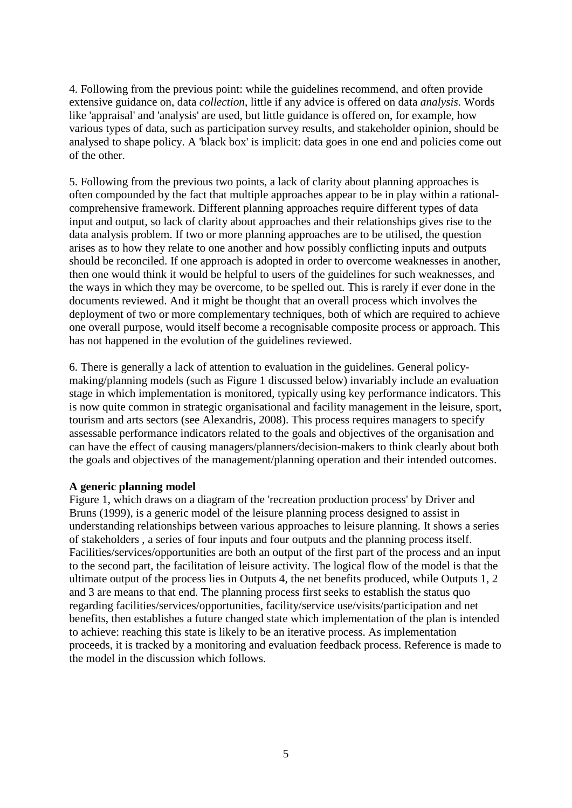4. Following from the previous point: while the guidelines recommend, and often provide extensive guidance on, data *collection*, little if any advice is offered on data *analysis*. Words like 'appraisal' and 'analysis' are used, but little guidance is offered on, for example, how various types of data, such as participation survey results, and stakeholder opinion, should be analysed to shape policy. A 'black box' is implicit: data goes in one end and policies come out of the other.

5. Following from the previous two points, a lack of clarity about planning approaches is often compounded by the fact that multiple approaches appear to be in play within a rationalcomprehensive framework. Different planning approaches require different types of data input and output, so lack of clarity about approaches and their relationships gives rise to the data analysis problem. If two or more planning approaches are to be utilised, the question arises as to how they relate to one another and how possibly conflicting inputs and outputs should be reconciled. If one approach is adopted in order to overcome weaknesses in another, then one would think it would be helpful to users of the guidelines for such weaknesses, and the ways in which they may be overcome, to be spelled out. This is rarely if ever done in the documents reviewed. And it might be thought that an overall process which involves the deployment of two or more complementary techniques, both of which are required to achieve one overall purpose, would itself become a recognisable composite process or approach. This has not happened in the evolution of the guidelines reviewed.

6. There is generally a lack of attention to evaluation in the guidelines. General policymaking/planning models (such as Figure 1 discussed below) invariably include an evaluation stage in which implementation is monitored, typically using key performance indicators. This is now quite common in strategic organisational and facility management in the leisure, sport, tourism and arts sectors (see Alexandris, 2008). This process requires managers to specify assessable performance indicators related to the goals and objectives of the organisation and can have the effect of causing managers/planners/decision-makers to think clearly about both the goals and objectives of the management/planning operation and their intended outcomes.

## **A generic planning model**

Figure 1, which draws on a diagram of the 'recreation production process' by Driver and Bruns (1999), is a generic model of the leisure planning process designed to assist in understanding relationships between various approaches to leisure planning. It shows a series of stakeholders , a series of four inputs and four outputs and the planning process itself. Facilities/services/opportunities are both an output of the first part of the process and an input to the second part, the facilitation of leisure activity. The logical flow of the model is that the ultimate output of the process lies in Outputs 4, the net benefits produced, while Outputs 1, 2 and 3 are means to that end. The planning process first seeks to establish the status quo regarding facilities/services/opportunities, facility/service use/visits/participation and net benefits, then establishes a future changed state which implementation of the plan is intended to achieve: reaching this state is likely to be an iterative process. As implementation proceeds, it is tracked by a monitoring and evaluation feedback process. Reference is made to the model in the discussion which follows.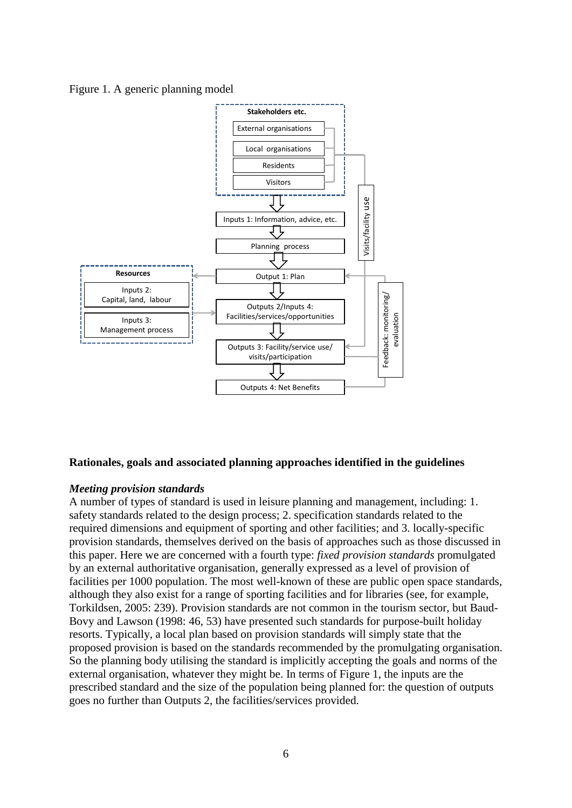Figure 1. A generic planning model



#### **Rationales, goals and associated planning approaches identified in the guidelines**

#### *Meeting provision standards*

A number of types of standard is used in leisure planning and management, including: 1. safety standards related to the design process; 2. specification standards related to the required dimensions and equipment of sporting and other facilities; and 3. locally-specific provision standards, themselves derived on the basis of approaches such as those discussed in this paper. Here we are concerned with a fourth type: *fixed provision standards* promulgated by an external authoritative organisation, generally expressed as a level of provision of facilities per 1000 population. The most well-known of these are public open space standards, although they also exist for a range of sporting facilities and for libraries (see, for example, Torkildsen, 2005: 239). Provision standards are not common in the tourism sector, but Baud-Bovy and Lawson (1998: 46, 53) have presented such standards for purpose-built holiday resorts. Typically, a local plan based on provision standards will simply state that the proposed provision is based on the standards recommended by the promulgating organisation. So the planning body utilising the standard is implicitly accepting the goals and norms of the external organisation, whatever they might be. In terms of Figure 1, the inputs are the prescribed standard and the size of the population being planned for: the question of outputs goes no further than Outputs 2, the facilities/services provided.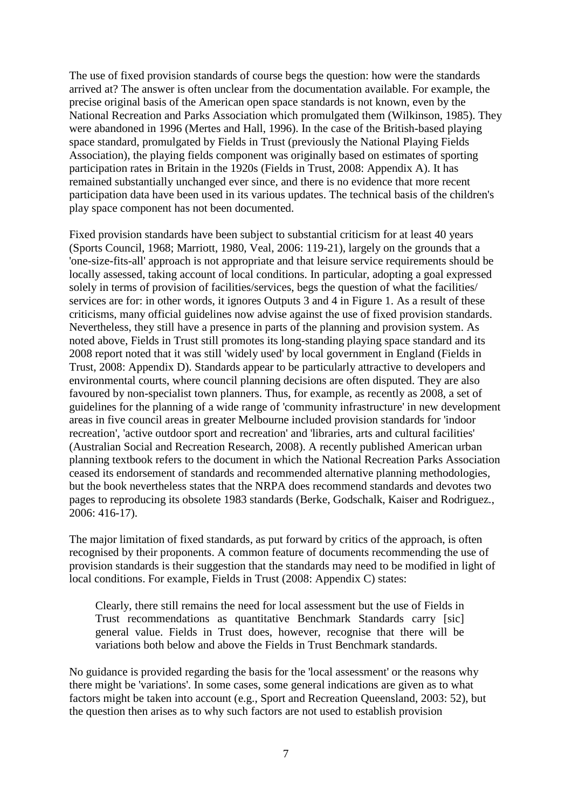The use of fixed provision standards of course begs the question: how were the standards arrived at? The answer is often unclear from the documentation available. For example, the precise original basis of the American open space standards is not known, even by the National Recreation and Parks Association which promulgated them (Wilkinson, 1985). They were abandoned in 1996 (Mertes and Hall, 1996). In the case of the British-based playing space standard, promulgated by Fields in Trust (previously the National Playing Fields Association), the playing fields component was originally based on estimates of sporting participation rates in Britain in the 1920s (Fields in Trust, 2008: Appendix A). It has remained substantially unchanged ever since, and there is no evidence that more recent participation data have been used in its various updates. The technical basis of the children's play space component has not been documented.

Fixed provision standards have been subject to substantial criticism for at least 40 years (Sports Council, 1968; Marriott, 1980, Veal, 2006: 119-21), largely on the grounds that a 'one-size-fits-all' approach is not appropriate and that leisure service requirements should be locally assessed, taking account of local conditions. In particular, adopting a goal expressed solely in terms of provision of facilities/services, begs the question of what the facilities/ services are for: in other words, it ignores Outputs 3 and 4 in Figure 1. As a result of these criticisms, many official guidelines now advise against the use of fixed provision standards. Nevertheless, they still have a presence in parts of the planning and provision system. As noted above, Fields in Trust still promotes its long-standing playing space standard and its 2008 report noted that it was still 'widely used' by local government in England (Fields in Trust, 2008: Appendix D). Standards appear to be particularly attractive to developers and environmental courts, where council planning decisions are often disputed. They are also favoured by non-specialist town planners. Thus, for example, as recently as 2008, a set of guidelines for the planning of a wide range of 'community infrastructure' in new development areas in five council areas in greater Melbourne included provision standards for 'indoor recreation', 'active outdoor sport and recreation' and 'libraries, arts and cultural facilities' (Australian Social and Recreation Research, 2008). A recently published American urban planning textbook refers to the document in which the National Recreation Parks Association ceased its endorsement of standards and recommended alternative planning methodologies, but the book nevertheless states that the NRPA does recommend standards and devotes two pages to reproducing its obsolete 1983 standards (Berke, Godschalk, Kaiser and Rodriguez*.*, 2006: 416-17).

The major limitation of fixed standards, as put forward by critics of the approach, is often recognised by their proponents. A common feature of documents recommending the use of provision standards is their suggestion that the standards may need to be modified in light of local conditions. For example, Fields in Trust (2008: Appendix C) states:

Clearly, there still remains the need for local assessment but the use of Fields in Trust recommendations as quantitative Benchmark Standards carry [sic] general value. Fields in Trust does, however, recognise that there will be variations both below and above the Fields in Trust Benchmark standards.

No guidance is provided regarding the basis for the 'local assessment' or the reasons why there might be 'variations'. In some cases, some general indications are given as to what factors might be taken into account (e.g., Sport and Recreation Queensland, 2003: 52), but the question then arises as to why such factors are not used to establish provision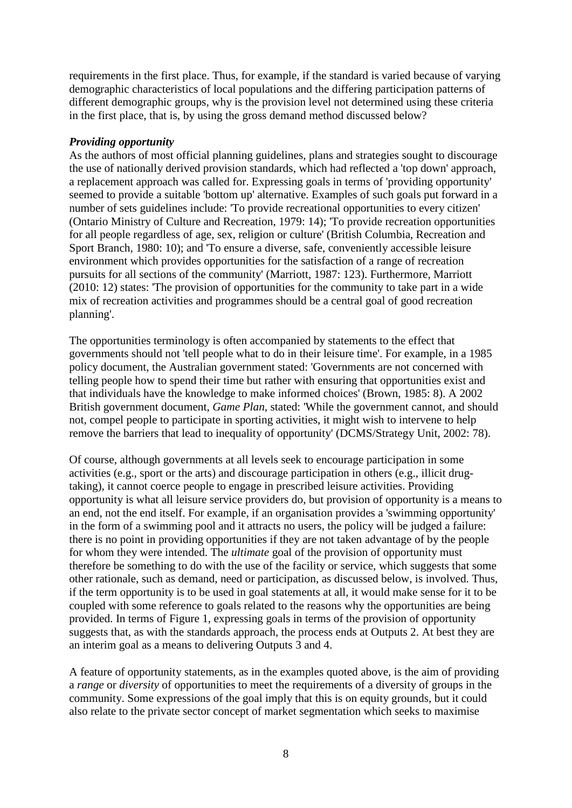requirements in the first place. Thus, for example, if the standard is varied because of varying demographic characteristics of local populations and the differing participation patterns of different demographic groups, why is the provision level not determined using these criteria in the first place, that is, by using the gross demand method discussed below?

## *Providing opportunity*

As the authors of most official planning guidelines, plans and strategies sought to discourage the use of nationally derived provision standards, which had reflected a 'top down' approach, a replacement approach was called for. Expressing goals in terms of 'providing opportunity' seemed to provide a suitable 'bottom up' alternative. Examples of such goals put forward in a number of sets guidelines include: 'To provide recreational opportunities to every citizen' (Ontario Ministry of Culture and Recreation, 1979: 14); 'To provide recreation opportunities for all people regardless of age, sex, religion or culture' (British Columbia, Recreation and Sport Branch, 1980: 10); and 'To ensure a diverse, safe, conveniently accessible leisure environment which provides opportunities for the satisfaction of a range of recreation pursuits for all sections of the community' (Marriott, 1987: 123). Furthermore, Marriott (2010: 12) states: 'The provision of opportunities for the community to take part in a wide mix of recreation activities and programmes should be a central goal of good recreation planning'.

The opportunities terminology is often accompanied by statements to the effect that governments should not 'tell people what to do in their leisure time'. For example, in a 1985 policy document, the Australian government stated: 'Governments are not concerned with telling people how to spend their time but rather with ensuring that opportunities exist and that individuals have the knowledge to make informed choices' (Brown, 1985: 8). A 2002 British government document, *Game Plan*, stated: 'While the government cannot, and should not, compel people to participate in sporting activities, it might wish to intervene to help remove the barriers that lead to inequality of opportunity' (DCMS/Strategy Unit, 2002: 78).

Of course, although governments at all levels seek to encourage participation in some activities (e.g., sport or the arts) and discourage participation in others (e.g., illicit drugtaking), it cannot coerce people to engage in prescribed leisure activities. Providing opportunity is what all leisure service providers do, but provision of opportunity is a means to an end, not the end itself. For example, if an organisation provides a 'swimming opportunity' in the form of a swimming pool and it attracts no users, the policy will be judged a failure: there is no point in providing opportunities if they are not taken advantage of by the people for whom they were intended. The *ultimate* goal of the provision of opportunity must therefore be something to do with the use of the facility or service, which suggests that some other rationale, such as demand, need or participation, as discussed below, is involved. Thus, if the term opportunity is to be used in goal statements at all, it would make sense for it to be coupled with some reference to goals related to the reasons why the opportunities are being provided. In terms of Figure 1, expressing goals in terms of the provision of opportunity suggests that, as with the standards approach, the process ends at Outputs 2. At best they are an interim goal as a means to delivering Outputs 3 and 4.

A feature of opportunity statements, as in the examples quoted above, is the aim of providing a *range* or *diversity* of opportunities to meet the requirements of a diversity of groups in the community. Some expressions of the goal imply that this is on equity grounds, but it could also relate to the private sector concept of market segmentation which seeks to maximise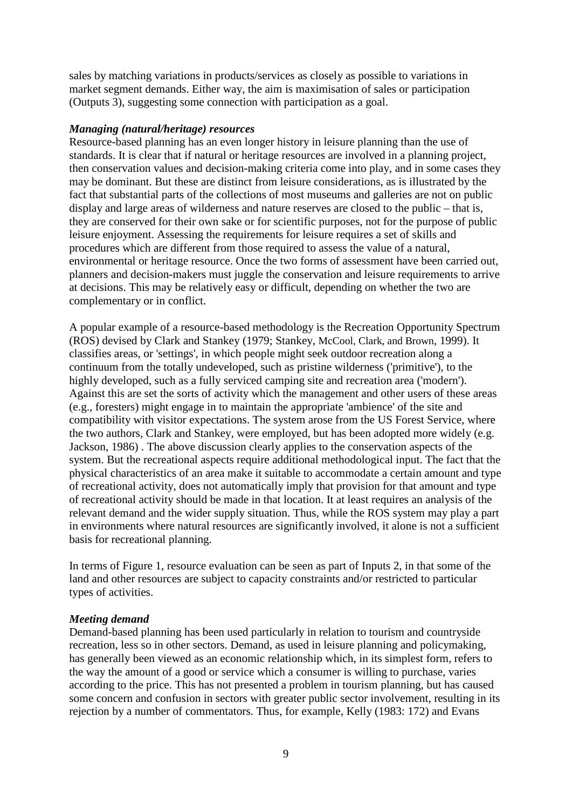sales by matching variations in products/services as closely as possible to variations in market segment demands. Either way, the aim is maximisation of sales or participation (Outputs 3), suggesting some connection with participation as a goal.

## *Managing (natural/heritage) resources*

Resource-based planning has an even longer history in leisure planning than the use of standards. It is clear that if natural or heritage resources are involved in a planning project, then conservation values and decision-making criteria come into play, and in some cases they may be dominant. But these are distinct from leisure considerations, as is illustrated by the fact that substantial parts of the collections of most museums and galleries are not on public display and large areas of wilderness and nature reserves are closed to the public – that is, they are conserved for their own sake or for scientific purposes, not for the purpose of public leisure enjoyment. Assessing the requirements for leisure requires a set of skills and procedures which are different from those required to assess the value of a natural, environmental or heritage resource. Once the two forms of assessment have been carried out, planners and decision-makers must juggle the conservation and leisure requirements to arrive at decisions. This may be relatively easy or difficult, depending on whether the two are complementary or in conflict.

A popular example of a resource-based methodology is the Recreation Opportunity Spectrum (ROS) devised by Clark and Stankey (1979; Stankey, McCool, Clark, and Brown, 1999). It classifies areas, or 'settings', in which people might seek outdoor recreation along a continuum from the totally undeveloped, such as pristine wilderness ('primitive'), to the highly developed, such as a fully serviced camping site and recreation area ('modern'). Against this are set the sorts of activity which the management and other users of these areas (e.g., foresters) might engage in to maintain the appropriate 'ambience' of the site and compatibility with visitor expectations. The system arose from the US Forest Service, where the two authors, Clark and Stankey, were employed, but has been adopted more widely (e.g. Jackson, 1986) . The above discussion clearly applies to the conservation aspects of the system. But the recreational aspects require additional methodological input. The fact that the physical characteristics of an area make it suitable to accommodate a certain amount and type of recreational activity, does not automatically imply that provision for that amount and type of recreational activity should be made in that location. It at least requires an analysis of the relevant demand and the wider supply situation. Thus, while the ROS system may play a part in environments where natural resources are significantly involved, it alone is not a sufficient basis for recreational planning.

In terms of Figure 1, resource evaluation can be seen as part of Inputs 2, in that some of the land and other resources are subject to capacity constraints and/or restricted to particular types of activities.

## *Meeting demand*

Demand-based planning has been used particularly in relation to tourism and countryside recreation, less so in other sectors. Demand, as used in leisure planning and policymaking, has generally been viewed as an economic relationship which, in its simplest form, refers to the way the amount of a good or service which a consumer is willing to purchase, varies according to the price. This has not presented a problem in tourism planning, but has caused some concern and confusion in sectors with greater public sector involvement, resulting in its rejection by a number of commentators. Thus, for example, Kelly (1983: 172) and Evans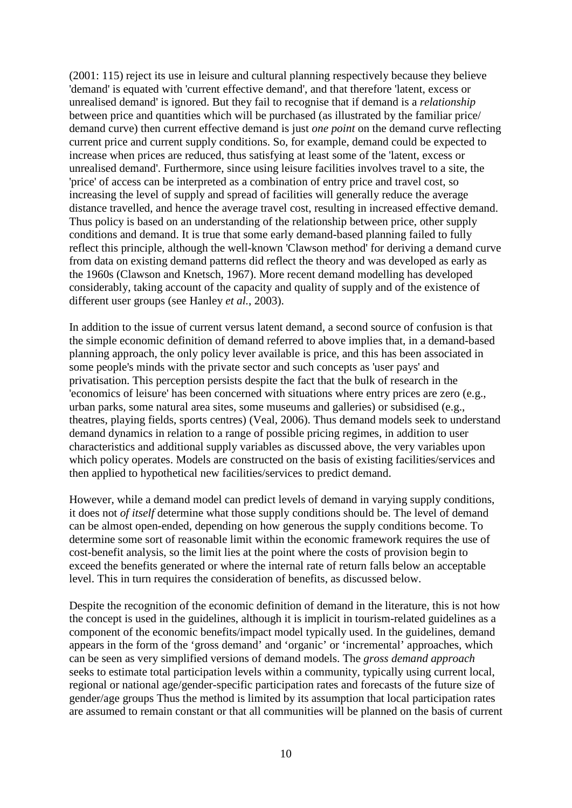(2001: 115) reject its use in leisure and cultural planning respectively because they believe 'demand' is equated with 'current effective demand', and that therefore 'latent, excess or unrealised demand' is ignored. But they fail to recognise that if demand is a *relationship* between price and quantities which will be purchased (as illustrated by the familiar price/ demand curve) then current effective demand is just *one point* on the demand curve reflecting current price and current supply conditions. So, for example, demand could be expected to increase when prices are reduced, thus satisfying at least some of the 'latent, excess or unrealised demand'. Furthermore, since using leisure facilities involves travel to a site, the 'price' of access can be interpreted as a combination of entry price and travel cost, so increasing the level of supply and spread of facilities will generally reduce the average distance travelled, and hence the average travel cost, resulting in increased effective demand. Thus policy is based on an understanding of the relationship between price, other supply conditions and demand. It is true that some early demand-based planning failed to fully reflect this principle, although the well-known 'Clawson method' for deriving a demand curve from data on existing demand patterns did reflect the theory and was developed as early as the 1960s (Clawson and Knetsch, 1967). More recent demand modelling has developed considerably, taking account of the capacity and quality of supply and of the existence of different user groups (see Hanley *et al.*, 2003).

In addition to the issue of current versus latent demand, a second source of confusion is that the simple economic definition of demand referred to above implies that, in a demand-based planning approach, the only policy lever available is price, and this has been associated in some people's minds with the private sector and such concepts as 'user pays' and privatisation. This perception persists despite the fact that the bulk of research in the 'economics of leisure' has been concerned with situations where entry prices are zero (e.g., urban parks, some natural area sites, some museums and galleries) or subsidised (e.g., theatres, playing fields, sports centres) (Veal, 2006). Thus demand models seek to understand demand dynamics in relation to a range of possible pricing regimes, in addition to user characteristics and additional supply variables as discussed above, the very variables upon which policy operates. Models are constructed on the basis of existing facilities/services and then applied to hypothetical new facilities/services to predict demand.

However, while a demand model can predict levels of demand in varying supply conditions, it does not *of itself* determine what those supply conditions should be. The level of demand can be almost open-ended, depending on how generous the supply conditions become. To determine some sort of reasonable limit within the economic framework requires the use of cost-benefit analysis, so the limit lies at the point where the costs of provision begin to exceed the benefits generated or where the internal rate of return falls below an acceptable level. This in turn requires the consideration of benefits, as discussed below.

Despite the recognition of the economic definition of demand in the literature, this is not how the concept is used in the guidelines, although it is implicit in tourism-related guidelines as a component of the economic benefits/impact model typically used. In the guidelines, demand appears in the form of the 'gross demand' and 'organic' or 'incremental' approaches, which can be seen as very simplified versions of demand models. The *gross demand approach* seeks to estimate total participation levels within a community, typically using current local, regional or national age/gender-specific participation rates and forecasts of the future size of gender/age groups Thus the method is limited by its assumption that local participation rates are assumed to remain constant or that all communities will be planned on the basis of current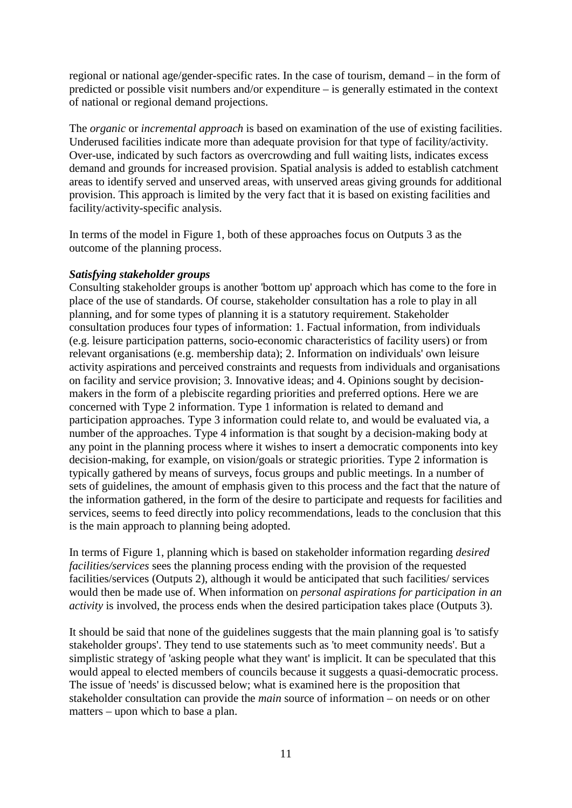regional or national age/gender-specific rates. In the case of tourism, demand – in the form of predicted or possible visit numbers and/or expenditure – is generally estimated in the context of national or regional demand projections.

The *organic* or *incremental approach* is based on examination of the use of existing facilities. Underused facilities indicate more than adequate provision for that type of facility/activity. Over-use, indicated by such factors as overcrowding and full waiting lists, indicates excess demand and grounds for increased provision. Spatial analysis is added to establish catchment areas to identify served and unserved areas, with unserved areas giving grounds for additional provision. This approach is limited by the very fact that it is based on existing facilities and facility/activity-specific analysis.

In terms of the model in Figure 1, both of these approaches focus on Outputs 3 as the outcome of the planning process.

## *Satisfying stakeholder groups*

Consulting stakeholder groups is another 'bottom up' approach which has come to the fore in place of the use of standards. Of course, stakeholder consultation has a role to play in all planning, and for some types of planning it is a statutory requirement. Stakeholder consultation produces four types of information: 1. Factual information, from individuals (e.g. leisure participation patterns, socio-economic characteristics of facility users) or from relevant organisations (e.g. membership data); 2. Information on individuals' own leisure activity aspirations and perceived constraints and requests from individuals and organisations on facility and service provision; 3. Innovative ideas; and 4. Opinions sought by decisionmakers in the form of a plebiscite regarding priorities and preferred options. Here we are concerned with Type 2 information. Type 1 information is related to demand and participation approaches. Type 3 information could relate to, and would be evaluated via, a number of the approaches. Type 4 information is that sought by a decision-making body at any point in the planning process where it wishes to insert a democratic components into key decision-making, for example, on vision/goals or strategic priorities. Type 2 information is typically gathered by means of surveys, focus groups and public meetings. In a number of sets of guidelines, the amount of emphasis given to this process and the fact that the nature of the information gathered, in the form of the desire to participate and requests for facilities and services, seems to feed directly into policy recommendations, leads to the conclusion that this is the main approach to planning being adopted.

In terms of Figure 1, planning which is based on stakeholder information regarding *desired facilities/services* sees the planning process ending with the provision of the requested facilities/services (Outputs 2), although it would be anticipated that such facilities/ services would then be made use of. When information on *personal aspirations for participation in an activity* is involved, the process ends when the desired participation takes place (Outputs 3).

It should be said that none of the guidelines suggests that the main planning goal is 'to satisfy stakeholder groups'. They tend to use statements such as 'to meet community needs'. But a simplistic strategy of 'asking people what they want' is implicit. It can be speculated that this would appeal to elected members of councils because it suggests a quasi-democratic process. The issue of 'needs' is discussed below; what is examined here is the proposition that stakeholder consultation can provide the *main* source of information – on needs or on other matters – upon which to base a plan.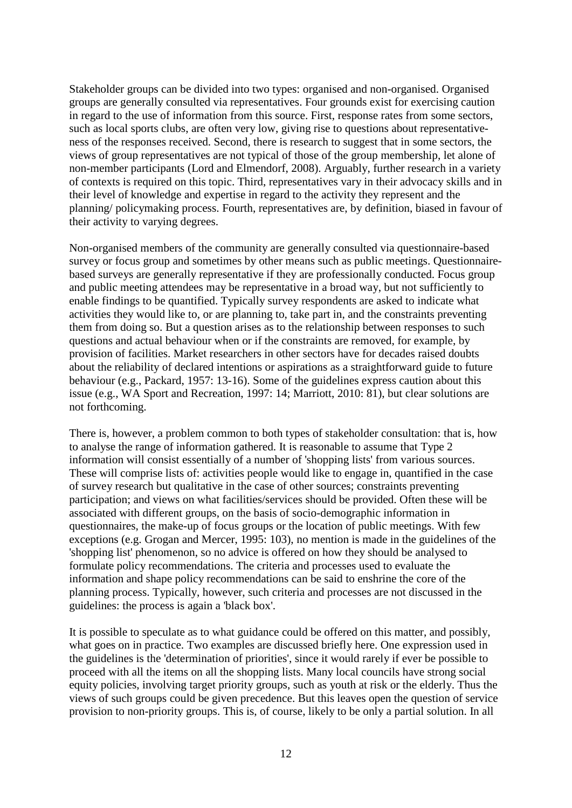Stakeholder groups can be divided into two types: organised and non-organised. Organised groups are generally consulted via representatives. Four grounds exist for exercising caution in regard to the use of information from this source. First, response rates from some sectors, such as local sports clubs, are often very low, giving rise to questions about representativeness of the responses received. Second, there is research to suggest that in some sectors, the views of group representatives are not typical of those of the group membership, let alone of non-member participants (Lord and Elmendorf, 2008). Arguably, further research in a variety of contexts is required on this topic. Third, representatives vary in their advocacy skills and in their level of knowledge and expertise in regard to the activity they represent and the planning/ policymaking process. Fourth, representatives are, by definition, biased in favour of their activity to varying degrees.

Non-organised members of the community are generally consulted via questionnaire-based survey or focus group and sometimes by other means such as public meetings. Questionnairebased surveys are generally representative if they are professionally conducted. Focus group and public meeting attendees may be representative in a broad way, but not sufficiently to enable findings to be quantified. Typically survey respondents are asked to indicate what activities they would like to, or are planning to, take part in, and the constraints preventing them from doing so. But a question arises as to the relationship between responses to such questions and actual behaviour when or if the constraints are removed, for example, by provision of facilities. Market researchers in other sectors have for decades raised doubts about the reliability of declared intentions or aspirations as a straightforward guide to future behaviour (e.g., Packard, 1957: 13-16). Some of the guidelines express caution about this issue (e.g., WA Sport and Recreation, 1997: 14; Marriott, 2010: 81), but clear solutions are not forthcoming.

There is, however, a problem common to both types of stakeholder consultation: that is, how to analyse the range of information gathered. It is reasonable to assume that Type 2 information will consist essentially of a number of 'shopping lists' from various sources. These will comprise lists of: activities people would like to engage in, quantified in the case of survey research but qualitative in the case of other sources; constraints preventing participation; and views on what facilities/services should be provided. Often these will be associated with different groups, on the basis of socio-demographic information in questionnaires, the make-up of focus groups or the location of public meetings. With few exceptions (e.g. Grogan and Mercer, 1995: 103), no mention is made in the guidelines of the 'shopping list' phenomenon, so no advice is offered on how they should be analysed to formulate policy recommendations. The criteria and processes used to evaluate the information and shape policy recommendations can be said to enshrine the core of the planning process. Typically, however, such criteria and processes are not discussed in the guidelines: the process is again a 'black box'.

It is possible to speculate as to what guidance could be offered on this matter, and possibly, what goes on in practice. Two examples are discussed briefly here. One expression used in the guidelines is the 'determination of priorities', since it would rarely if ever be possible to proceed with all the items on all the shopping lists. Many local councils have strong social equity policies, involving target priority groups, such as youth at risk or the elderly. Thus the views of such groups could be given precedence. But this leaves open the question of service provision to non-priority groups. This is, of course, likely to be only a partial solution. In all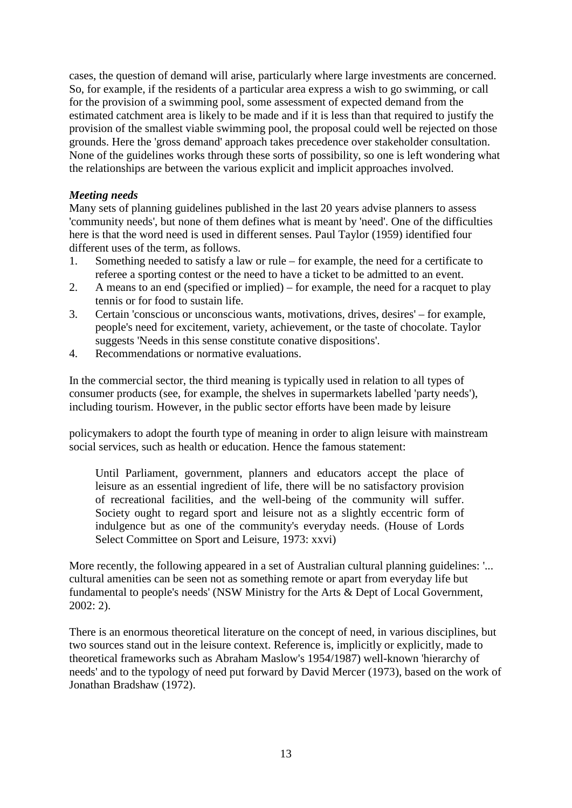cases, the question of demand will arise, particularly where large investments are concerned. So, for example, if the residents of a particular area express a wish to go swimming, or call for the provision of a swimming pool, some assessment of expected demand from the estimated catchment area is likely to be made and if it is less than that required to justify the provision of the smallest viable swimming pool, the proposal could well be rejected on those grounds. Here the 'gross demand' approach takes precedence over stakeholder consultation. None of the guidelines works through these sorts of possibility, so one is left wondering what the relationships are between the various explicit and implicit approaches involved.

## *Meeting needs*

Many sets of planning guidelines published in the last 20 years advise planners to assess 'community needs', but none of them defines what is meant by 'need'. One of the difficulties here is that the word need is used in different senses. Paul Taylor (1959) identified four different uses of the term, as follows.

- 1. Something needed to satisfy a law or rule for example, the need for a certificate to referee a sporting contest or the need to have a ticket to be admitted to an event.
- 2. A means to an end (specified or implied) for example, the need for a racquet to play tennis or for food to sustain life.
- 3. Certain 'conscious or unconscious wants, motivations, drives, desires' for example, people's need for excitement, variety, achievement, or the taste of chocolate. Taylor suggests 'Needs in this sense constitute conative dispositions'.
- 4. Recommendations or normative evaluations.

In the commercial sector, the third meaning is typically used in relation to all types of consumer products (see, for example, the shelves in supermarkets labelled 'party needs'), including tourism. However, in the public sector efforts have been made by leisure

policymakers to adopt the fourth type of meaning in order to align leisure with mainstream social services, such as health or education. Hence the famous statement:

Until Parliament, government, planners and educators accept the place of leisure as an essential ingredient of life, there will be no satisfactory provision of recreational facilities, and the well-being of the community will suffer. Society ought to regard sport and leisure not as a slightly eccentric form of indulgence but as one of the community's everyday needs. (House of Lords Select Committee on Sport and Leisure, 1973: xxvi)

More recently, the following appeared in a set of Australian cultural planning guidelines: '... cultural amenities can be seen not as something remote or apart from everyday life but fundamental to people's needs' (NSW Ministry for the Arts & Dept of Local Government, 2002: 2).

There is an enormous theoretical literature on the concept of need, in various disciplines, but two sources stand out in the leisure context. Reference is, implicitly or explicitly, made to theoretical frameworks such as Abraham Maslow's 1954/1987) well-known 'hierarchy of needs' and to the typology of need put forward by David Mercer (1973), based on the work of Jonathan Bradshaw (1972).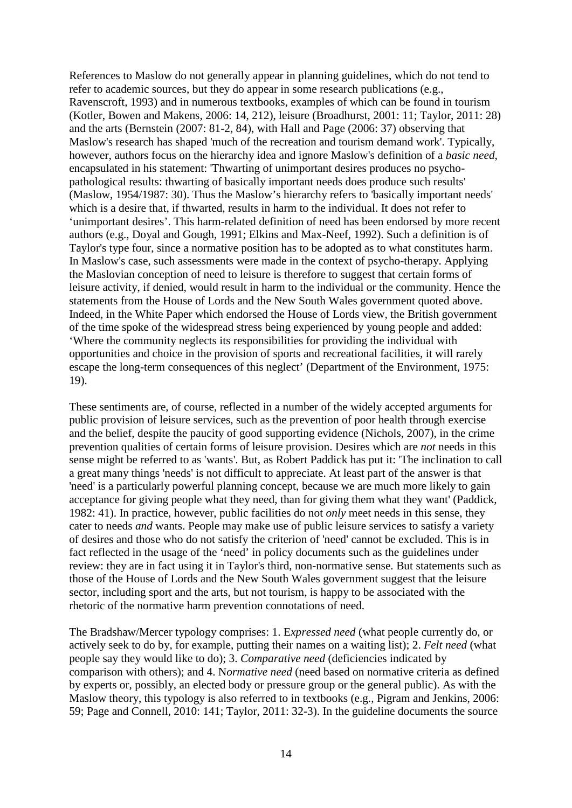References to Maslow do not generally appear in planning guidelines, which do not tend to refer to academic sources, but they do appear in some research publications (e.g., Ravenscroft, 1993) and in numerous textbooks, examples of which can be found in tourism (Kotler, Bowen and Makens, 2006: 14, 212), leisure (Broadhurst, 2001: 11; Taylor, 2011: 28) and the arts (Bernstein (2007: 81-2, 84), with Hall and Page (2006: 37) observing that Maslow's research has shaped 'much of the recreation and tourism demand work'. Typically, however, authors focus on the hierarchy idea and ignore Maslow's definition of a *basic need*, encapsulated in his statement: 'Thwarting of unimportant desires produces no psychopathological results: thwarting of basically important needs does produce such results' (Maslow, 1954/1987: 30). Thus the Maslow's hierarchy refers to 'basically important needs' which is a desire that, if thwarted, results in harm to the individual. It does not refer to 'unimportant desires'. This harm-related definition of need has been endorsed by more recent authors (e.g., Doyal and Gough, 1991; Elkins and Max-Neef, 1992). Such a definition is of Taylor's type four, since a normative position has to be adopted as to what constitutes harm. In Maslow's case, such assessments were made in the context of psycho-therapy. Applying the Maslovian conception of need to leisure is therefore to suggest that certain forms of leisure activity, if denied, would result in harm to the individual or the community. Hence the statements from the House of Lords and the New South Wales government quoted above. Indeed, in the White Paper which endorsed the House of Lords view, the British government of the time spoke of the widespread stress being experienced by young people and added: 'Where the community neglects its responsibilities for providing the individual with opportunities and choice in the provision of sports and recreational facilities, it will rarely escape the long-term consequences of this neglect' (Department of the Environment, 1975: 19).

These sentiments are, of course, reflected in a number of the widely accepted arguments for public provision of leisure services, such as the prevention of poor health through exercise and the belief, despite the paucity of good supporting evidence (Nichols, 2007), in the crime prevention qualities of certain forms of leisure provision. Desires which are *not* needs in this sense might be referred to as 'wants'. But, as Robert Paddick has put it: 'The inclination to call a great many things 'needs' is not difficult to appreciate. At least part of the answer is that 'need' is a particularly powerful planning concept, because we are much more likely to gain acceptance for giving people what they need, than for giving them what they want' (Paddick, 1982: 41). In practice, however, public facilities do not *only* meet needs in this sense, they cater to needs *and* wants. People may make use of public leisure services to satisfy a variety of desires and those who do not satisfy the criterion of 'need' cannot be excluded. This is in fact reflected in the usage of the 'need' in policy documents such as the guidelines under review: they are in fact using it in Taylor's third, non-normative sense. But statements such as those of the House of Lords and the New South Wales government suggest that the leisure sector, including sport and the arts, but not tourism, is happy to be associated with the rhetoric of the normative harm prevention connotations of need.

The Bradshaw/Mercer typology comprises: 1. E*xpressed need* (what people currently do, or actively seek to do by, for example, putting their names on a waiting list); 2. *Felt need* (what people say they would like to do); 3. *Comparative need* (deficiencies indicated by comparison with others); and 4. N*ormative need* (need based on normative criteria as defined by experts or, possibly, an elected body or pressure group or the general public). As with the Maslow theory, this typology is also referred to in textbooks (e.g., Pigram and Jenkins, 2006: 59; Page and Connell, 2010: 141; Taylor, 2011: 32-3). In the guideline documents the source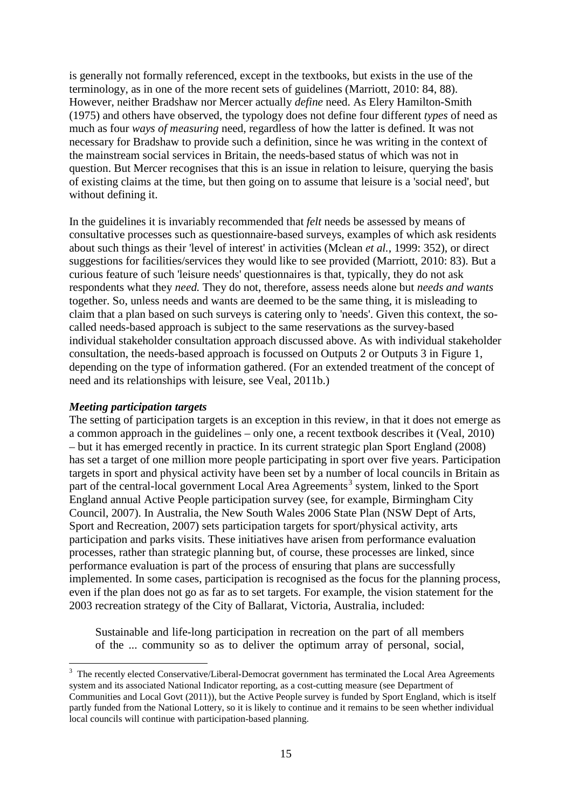is generally not formally referenced, except in the textbooks, but exists in the use of the terminology, as in one of the more recent sets of guidelines (Marriott, 2010: 84, 88). However, neither Bradshaw nor Mercer actually *define* need. As Elery Hamilton-Smith (1975) and others have observed, the typology does not define four different *types* of need as much as four *ways of measuring* need, regardless of how the latter is defined. It was not necessary for Bradshaw to provide such a definition, since he was writing in the context of the mainstream social services in Britain, the needs-based status of which was not in question. But Mercer recognises that this is an issue in relation to leisure, querying the basis of existing claims at the time, but then going on to assume that leisure is a 'social need', but without defining it.

In the guidelines it is invariably recommended that *felt* needs be assessed by means of consultative processes such as questionnaire-based surveys, examples of which ask residents about such things as their 'level of interest' in activities (Mclean *et al.*, 1999: 352), or direct suggestions for facilities/services they would like to see provided (Marriott, 2010: 83). But a curious feature of such 'leisure needs' questionnaires is that, typically, they do not ask respondents what they *need.* They do not, therefore, assess needs alone but *needs and wants*  together. So, unless needs and wants are deemed to be the same thing, it is misleading to claim that a plan based on such surveys is catering only to 'needs'. Given this context, the socalled needs-based approach is subject to the same reservations as the survey-based individual stakeholder consultation approach discussed above. As with individual stakeholder consultation, the needs-based approach is focussed on Outputs 2 or Outputs 3 in Figure 1, depending on the type of information gathered. (For an extended treatment of the concept of need and its relationships with leisure, see Veal, 2011b.)

#### *Meeting participation targets*

The setting of participation targets is an exception in this review, in that it does not emerge as a common approach in the guidelines – only one, a recent textbook describes it (Veal, 2010) – but it has emerged recently in practice. In its current strategic plan Sport England (2008) has set a target of one million more people participating in sport over five years. Participation targets in sport and physical activity have been set by a number of local councils in Britain as part of the central-local government Local Area Agreements<sup>[3](#page-14-0)</sup> system, linked to the Sport England annual Active People participation survey (see, for example, Birmingham City Council, 2007). In Australia, the New South Wales 2006 State Plan (NSW Dept of Arts, Sport and Recreation, 2007) sets participation targets for sport/physical activity, arts participation and parks visits. These initiatives have arisen from performance evaluation processes, rather than strategic planning but, of course, these processes are linked, since performance evaluation is part of the process of ensuring that plans are successfully implemented. In some cases, participation is recognised as the focus for the planning process, even if the plan does not go as far as to set targets. For example, the vision statement for the 2003 recreation strategy of the City of Ballarat, Victoria, Australia, included:

Sustainable and life-long participation in recreation on the part of all members of the ... community so as to deliver the optimum array of personal, social,

<span id="page-14-0"></span> $\frac{1}{3}$ <sup>3</sup> The recently elected Conservative/Liberal-Democrat government has terminated the Local Area Agreements system and its associated National Indicator reporting, as a cost-cutting measure (see Department of Communities and Local Govt (2011)), but the Active People survey is funded by Sport England, which is itself partly funded from the National Lottery, so it is likely to continue and it remains to be seen whether individual local councils will continue with participation-based planning.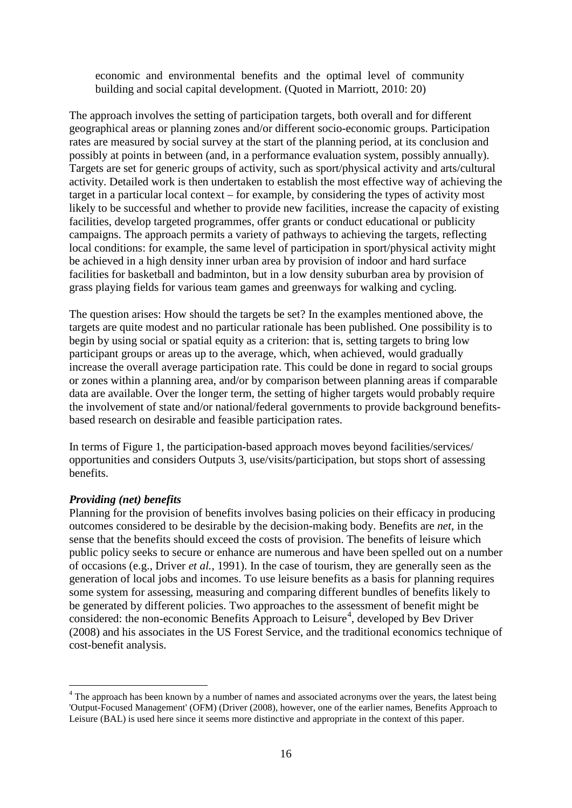economic and environmental benefits and the optimal level of community building and social capital development. (Quoted in Marriott, 2010: 20)

The approach involves the setting of participation targets, both overall and for different geographical areas or planning zones and/or different socio-economic groups. Participation rates are measured by social survey at the start of the planning period, at its conclusion and possibly at points in between (and, in a performance evaluation system, possibly annually). Targets are set for generic groups of activity, such as sport/physical activity and arts/cultural activity. Detailed work is then undertaken to establish the most effective way of achieving the target in a particular local context – for example, by considering the types of activity most likely to be successful and whether to provide new facilities, increase the capacity of existing facilities, develop targeted programmes, offer grants or conduct educational or publicity campaigns. The approach permits a variety of pathways to achieving the targets, reflecting local conditions: for example, the same level of participation in sport/physical activity might be achieved in a high density inner urban area by provision of indoor and hard surface facilities for basketball and badminton, but in a low density suburban area by provision of grass playing fields for various team games and greenways for walking and cycling.

The question arises: How should the targets be set? In the examples mentioned above, the targets are quite modest and no particular rationale has been published. One possibility is to begin by using social or spatial equity as a criterion: that is, setting targets to bring low participant groups or areas up to the average, which, when achieved, would gradually increase the overall average participation rate. This could be done in regard to social groups or zones within a planning area, and/or by comparison between planning areas if comparable data are available. Over the longer term, the setting of higher targets would probably require the involvement of state and/or national/federal governments to provide background benefitsbased research on desirable and feasible participation rates.

In terms of Figure 1, the participation-based approach moves beyond facilities/services/ opportunities and considers Outputs 3, use/visits/participation, but stops short of assessing benefits.

## *Providing (net) benefits*

Planning for the provision of benefits involves basing policies on their efficacy in producing outcomes considered to be desirable by the decision-making body. Benefits are *net*, in the sense that the benefits should exceed the costs of provision. The benefits of leisure which public policy seeks to secure or enhance are numerous and have been spelled out on a number of occasions (e.g., Driver *et al.*, 1991). In the case of tourism, they are generally seen as the generation of local jobs and incomes. To use leisure benefits as a basis for planning requires some system for assessing, measuring and comparing different bundles of benefits likely to be generated by different policies. Two approaches to the assessment of benefit might be considered: the non-economic Benefits Approach to Leisure<sup>[4](#page-15-0)</sup>, developed by Bev Driver (2008) and his associates in the US Forest Service, and the traditional economics technique of cost-benefit analysis.

<span id="page-15-0"></span><sup>&</sup>lt;sup>4</sup> The approach has been known by a number of names and associated acronyms over the years, the latest being 'Output-Focused Management' (OFM) (Driver (2008), however, one of the earlier names, Benefits Approach to Leisure (BAL) is used here since it seems more distinctive and appropriate in the context of this paper.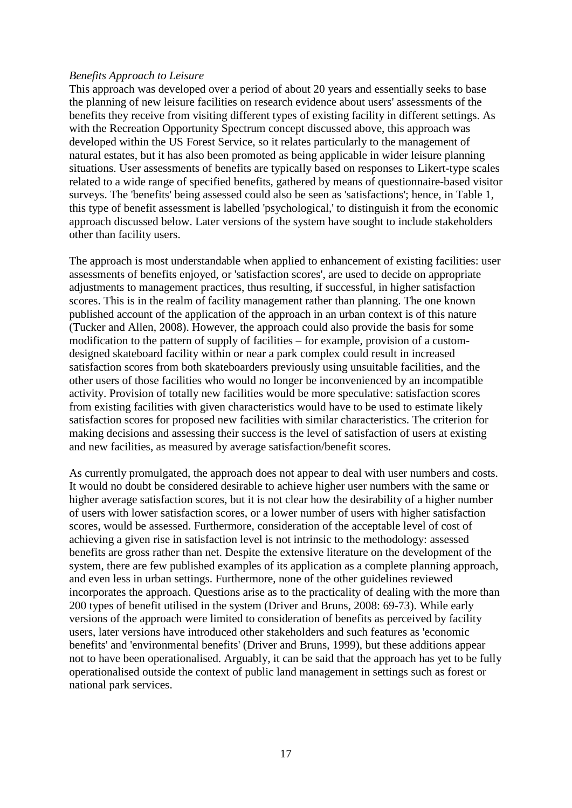#### *Benefits Approach to Leisure*

This approach was developed over a period of about 20 years and essentially seeks to base the planning of new leisure facilities on research evidence about users' assessments of the benefits they receive from visiting different types of existing facility in different settings. As with the Recreation Opportunity Spectrum concept discussed above, this approach was developed within the US Forest Service, so it relates particularly to the management of natural estates, but it has also been promoted as being applicable in wider leisure planning situations. User assessments of benefits are typically based on responses to Likert-type scales related to a wide range of specified benefits, gathered by means of questionnaire-based visitor surveys. The 'benefits' being assessed could also be seen as 'satisfactions'; hence, in Table 1, this type of benefit assessment is labelled 'psychological,' to distinguish it from the economic approach discussed below. Later versions of the system have sought to include stakeholders other than facility users.

The approach is most understandable when applied to enhancement of existing facilities: user assessments of benefits enjoyed, or 'satisfaction scores', are used to decide on appropriate adjustments to management practices, thus resulting, if successful, in higher satisfaction scores. This is in the realm of facility management rather than planning. The one known published account of the application of the approach in an urban context is of this nature (Tucker and Allen, 2008). However, the approach could also provide the basis for some modification to the pattern of supply of facilities – for example, provision of a customdesigned skateboard facility within or near a park complex could result in increased satisfaction scores from both skateboarders previously using unsuitable facilities, and the other users of those facilities who would no longer be inconvenienced by an incompatible activity. Provision of totally new facilities would be more speculative: satisfaction scores from existing facilities with given characteristics would have to be used to estimate likely satisfaction scores for proposed new facilities with similar characteristics. The criterion for making decisions and assessing their success is the level of satisfaction of users at existing and new facilities, as measured by average satisfaction/benefit scores.

As currently promulgated, the approach does not appear to deal with user numbers and costs. It would no doubt be considered desirable to achieve higher user numbers with the same or higher average satisfaction scores, but it is not clear how the desirability of a higher number of users with lower satisfaction scores, or a lower number of users with higher satisfaction scores, would be assessed. Furthermore, consideration of the acceptable level of cost of achieving a given rise in satisfaction level is not intrinsic to the methodology: assessed benefits are gross rather than net. Despite the extensive literature on the development of the system, there are few published examples of its application as a complete planning approach, and even less in urban settings. Furthermore, none of the other guidelines reviewed incorporates the approach. Questions arise as to the practicality of dealing with the more than 200 types of benefit utilised in the system (Driver and Bruns, 2008: 69-73). While early versions of the approach were limited to consideration of benefits as perceived by facility users, later versions have introduced other stakeholders and such features as 'economic benefits' and 'environmental benefits' (Driver and Bruns, 1999), but these additions appear not to have been operationalised. Arguably, it can be said that the approach has yet to be fully operationalised outside the context of public land management in settings such as forest or national park services.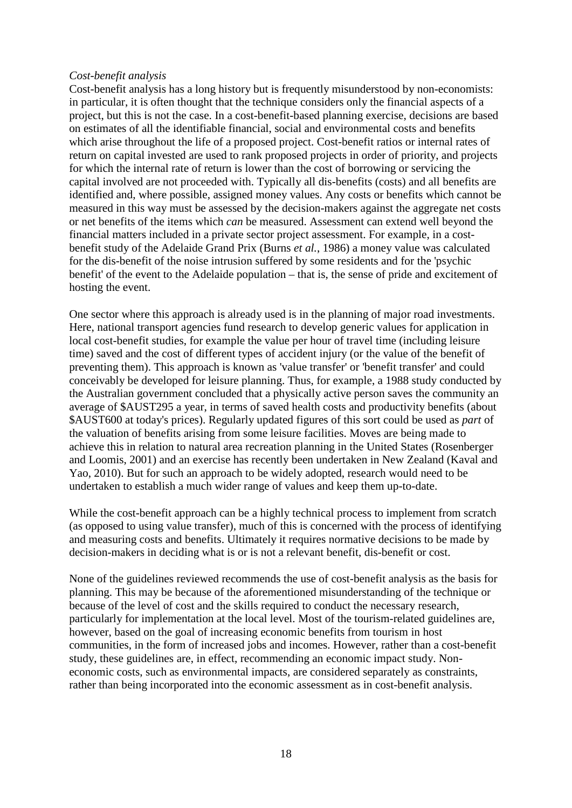#### *Cost-benefit analysis*

Cost-benefit analysis has a long history but is frequently misunderstood by non-economists: in particular, it is often thought that the technique considers only the financial aspects of a project, but this is not the case. In a cost-benefit-based planning exercise, decisions are based on estimates of all the identifiable financial, social and environmental costs and benefits which arise throughout the life of a proposed project. Cost-benefit ratios or internal rates of return on capital invested are used to rank proposed projects in order of priority, and projects for which the internal rate of return is lower than the cost of borrowing or servicing the capital involved are not proceeded with. Typically all dis-benefits (costs) and all benefits are identified and, where possible, assigned money values. Any costs or benefits which cannot be measured in this way must be assessed by the decision-makers against the aggregate net costs or net benefits of the items which *can* be measured. Assessment can extend well beyond the financial matters included in a private sector project assessment. For example, in a costbenefit study of the Adelaide Grand Prix (Burns *et al.*, 1986) a money value was calculated for the dis-benefit of the noise intrusion suffered by some residents and for the 'psychic benefit' of the event to the Adelaide population – that is, the sense of pride and excitement of hosting the event.

One sector where this approach is already used is in the planning of major road investments. Here, national transport agencies fund research to develop generic values for application in local cost-benefit studies, for example the value per hour of travel time (including leisure time) saved and the cost of different types of accident injury (or the value of the benefit of preventing them). This approach is known as 'value transfer' or 'benefit transfer' and could conceivably be developed for leisure planning. Thus, for example, a 1988 study conducted by the Australian government concluded that a physically active person saves the community an average of \$AUST295 a year, in terms of saved health costs and productivity benefits (about \$AUST600 at today's prices). Regularly updated figures of this sort could be used as *part* of the valuation of benefits arising from some leisure facilities. Moves are being made to achieve this in relation to natural area recreation planning in the United States (Rosenberger and Loomis, 2001) and an exercise has recently been undertaken in New Zealand (Kaval and Yao, 2010). But for such an approach to be widely adopted, research would need to be undertaken to establish a much wider range of values and keep them up-to-date.

While the cost-benefit approach can be a highly technical process to implement from scratch (as opposed to using value transfer), much of this is concerned with the process of identifying and measuring costs and benefits. Ultimately it requires normative decisions to be made by decision-makers in deciding what is or is not a relevant benefit, dis-benefit or cost.

None of the guidelines reviewed recommends the use of cost-benefit analysis as the basis for planning. This may be because of the aforementioned misunderstanding of the technique or because of the level of cost and the skills required to conduct the necessary research, particularly for implementation at the local level. Most of the tourism-related guidelines are, however, based on the goal of increasing economic benefits from tourism in host communities, in the form of increased jobs and incomes. However, rather than a cost-benefit study, these guidelines are, in effect, recommending an economic impact study. Noneconomic costs, such as environmental impacts, are considered separately as constraints, rather than being incorporated into the economic assessment as in cost-benefit analysis.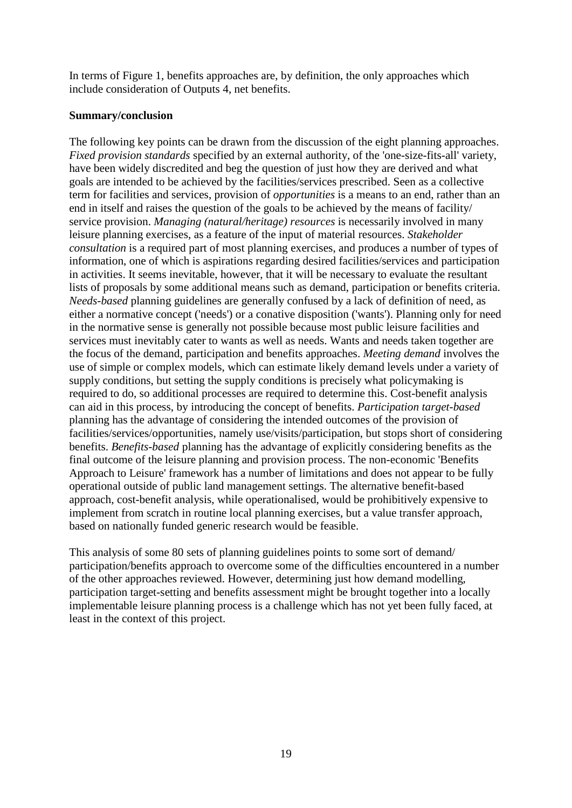In terms of Figure 1, benefits approaches are, by definition, the only approaches which include consideration of Outputs 4, net benefits.

## **Summary/conclusion**

The following key points can be drawn from the discussion of the eight planning approaches. *Fixed provision standards* specified by an external authority, of the 'one-size-fits-all' variety, have been widely discredited and beg the question of just how they are derived and what goals are intended to be achieved by the facilities/services prescribed. Seen as a collective term for facilities and services, provision of *opportunities* is a means to an end, rather than an end in itself and raises the question of the goals to be achieved by the means of facility/ service provision. *Managing (natural/heritage) resources* is necessarily involved in many leisure planning exercises, as a feature of the input of material resources. *Stakeholder consultation* is a required part of most planning exercises, and produces a number of types of information, one of which is aspirations regarding desired facilities/services and participation in activities. It seems inevitable, however, that it will be necessary to evaluate the resultant lists of proposals by some additional means such as demand, participation or benefits criteria. *Needs-based* planning guidelines are generally confused by a lack of definition of need, as either a normative concept ('needs') or a conative disposition ('wants'). Planning only for need in the normative sense is generally not possible because most public leisure facilities and services must inevitably cater to wants as well as needs. Wants and needs taken together are the focus of the demand, participation and benefits approaches. *Meeting demand* involves the use of simple or complex models, which can estimate likely demand levels under a variety of supply conditions, but setting the supply conditions is precisely what policymaking is required to do, so additional processes are required to determine this. Cost-benefit analysis can aid in this process, by introducing the concept of benefits. *Participation target-based*  planning has the advantage of considering the intended outcomes of the provision of facilities/services/opportunities, namely use/visits/participation, but stops short of considering benefits. *Benefits-based* planning has the advantage of explicitly considering benefits as the final outcome of the leisure planning and provision process. The non-economic 'Benefits Approach to Leisure' framework has a number of limitations and does not appear to be fully operational outside of public land management settings. The alternative benefit-based approach, cost-benefit analysis, while operationalised, would be prohibitively expensive to implement from scratch in routine local planning exercises, but a value transfer approach, based on nationally funded generic research would be feasible.

This analysis of some 80 sets of planning guidelines points to some sort of demand/ participation/benefits approach to overcome some of the difficulties encountered in a number of the other approaches reviewed. However, determining just how demand modelling, participation target-setting and benefits assessment might be brought together into a locally implementable leisure planning process is a challenge which has not yet been fully faced, at least in the context of this project.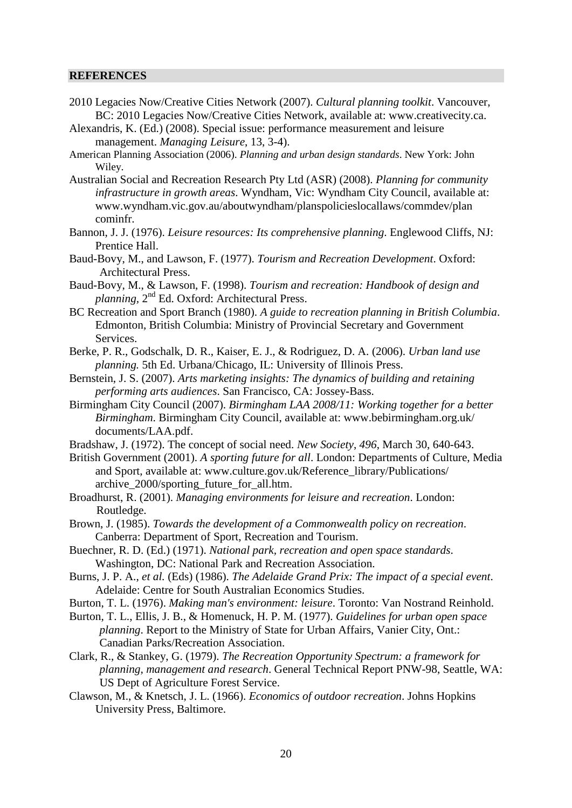#### **REFERENCES**

- 2010 Legacies Now/Creative Cities Network (2007). *Cultural planning toolkit*. Vancouver, BC: 2010 Legacies Now/Creative Cities Network, available at: www.creativecity.ca.
- Alexandris, K. (Ed.) (2008). Special issue: performance measurement and leisure management. *Managing Leisure*, 13, 3-4).
- American Planning Association (2006). *Planning and urban design standards*. New York: John Wiley.
- Australian Social and Recreation Research Pty Ltd (ASR) (2008). *Planning for community infrastructure in growth areas*. Wyndham, Vic: Wyndham City Council, available at: www.wyndham.vic.gov.au/aboutwyndham/planspolicieslocallaws/commdev/plan cominfr.
- Bannon, J. J. (1976). *Leisure resources: Its comprehensive planning*. Englewood Cliffs, NJ: Prentice Hall.
- Baud-Bovy, M., and Lawson, F. (1977). *Tourism and Recreation Development*. Oxford: Architectural Press.
- Baud-Bovy, M., & Lawson, F. (1998). *Tourism and recreation: Handbook of design and planning,* 2nd Ed. Oxford: Architectural Press.
- BC Recreation and Sport Branch (1980). *A guide to recreation planning in British Columbia*. Edmonton, British Columbia: Ministry of Provincial Secretary and Government Services.
- Berke, P. R., Godschalk, D. R., Kaiser, E. J., & Rodriguez, D. A. (2006). *Urban land use planning.* 5th Ed. Urbana/Chicago, IL: University of Illinois Press.
- Bernstein, J. S. (2007). *Arts marketing insights: The dynamics of building and retaining performing arts audiences*. San Francisco, CA: Jossey-Bass.
- Birmingham City Council (2007). *Birmingham LAA 2008/11: Working together for a better Birmingham*. Birmingham City Council, available at: www.bebirmingham.org.uk/ documents/LAA.pdf.
- Bradshaw, J. (1972). The concept of social need. *New Society*, *496*, March 30, 640-643.
- British Government (2001). *A sporting future for all*. London: Departments of Culture, Media and Sport, available at: www.culture.gov.uk/Reference\_library/Publications/ archive\_2000/sporting\_future\_for\_all.htm.
- Broadhurst, R. (2001). *Managing environments for leisure and recreation*. London: Routledge.
- Brown, J. (1985). *Towards the development of a Commonwealth policy on recreation*. Canberra: Department of Sport, Recreation and Tourism.
- Buechner, R. D. (Ed.) (1971). *National park, recreation and open space standards*. Washington, DC: National Park and Recreation Association.
- Burns, J. P. A., *et al.* (Eds) (1986). *The Adelaide Grand Prix: The impact of a special event*. Adelaide: Centre for South Australian Economics Studies.
- Burton, T. L. (1976). *Making man's environment: leisure*. Toronto: Van Nostrand Reinhold.
- Burton, T. L., Ellis, J. B., & Homenuck, H. P. M. (1977). *Guidelines for urban open space planning*. Report to the Ministry of State for Urban Affairs, Vanier City, Ont.: Canadian Parks/Recreation Association.
- Clark, R., & Stankey, G. (1979). *The Recreation Opportunity Spectrum: a framework for planning, management and research*. General Technical Report PNW-98, Seattle, WA: US Dept of Agriculture Forest Service.
- Clawson, M., & Knetsch, J. L. (1966). *Economics of outdoor recreation*. Johns Hopkins University Press, Baltimore.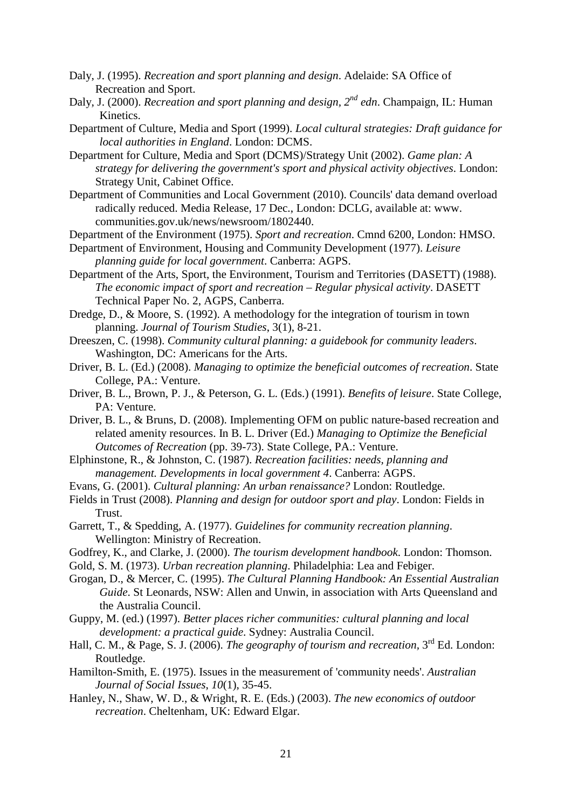- Daly, J. (1995). *Recreation and sport planning and design*. Adelaide: SA Office of Recreation and Sport.
- Daly, J. (2000). *Recreation and sport planning and design, 2nd edn*. Champaign, IL: Human Kinetics.
- Department of Culture, Media and Sport (1999). *Local cultural strategies: Draft guidance for local authorities in England*. London: DCMS.
- Department for Culture, Media and Sport (DCMS)/Strategy Unit (2002). *Game plan: A strategy for delivering the government's sport and physical activity objectives*. London: Strategy Unit, Cabinet Office.
- Department of Communities and Local Government (2010). Councils' data demand overload radically reduced. Media Release, 17 Dec., London: DCLG, available at: www. communities.gov.uk/news/newsroom/1802440.
- Department of the Environment (1975). *Sport and recreation*. Cmnd 6200, London: HMSO.
- Department of Environment, Housing and Community Development (1977). *Leisure planning guide for local government*. Canberra: AGPS.
- Department of the Arts, Sport, the Environment, Tourism and Territories (DASETT) (1988). *The economic impact of sport and recreation – Regular physical activity*. DASETT Technical Paper No. 2, AGPS, Canberra.
- Dredge, D., & Moore, S. (1992). A methodology for the integration of tourism in town planning. *Journal of Tourism Studies*, 3(1), 8-21.
- Dreeszen, C. (1998). *Community cultural planning: a guidebook for community leaders*. Washington, DC: Americans for the Arts.
- Driver, B. L. (Ed.) (2008). *Managing to optimize the beneficial outcomes of recreation*. State College, PA.: Venture.
- Driver, B. L., Brown, P. J., & Peterson, G. L. (Eds.) (1991). *Benefits of leisure*. State College, PA: Venture.
- Driver, B. L., & Bruns, D. (2008). Implementing OFM on public nature-based recreation and related amenity resources. In B. L. Driver (Ed.) *Managing to Optimize the Beneficial Outcomes of Recreation* (pp. 39-73). State College, PA.: Venture.
- Elphinstone, R., & Johnston, C. (1987). *Recreation facilities: needs, planning and management. Developments in local government 4*. Canberra: AGPS.
- Evans, G. (2001). *Cultural planning: An urban renaissance?* London: Routledge.
- Fields in Trust (2008). *Planning and design for outdoor sport and play*. London: Fields in Trust.
- Garrett, T., & Spedding, A. (1977). *Guidelines for community recreation planning*. Wellington: Ministry of Recreation.
- Godfrey, K., and Clarke, J. (2000). *The tourism development handbook*. London: Thomson.
- Gold, S. M. (1973). *Urban recreation planning*. Philadelphia: Lea and Febiger.
- Grogan, D., & Mercer, C. (1995). *The Cultural Planning Handbook: An Essential Australian Guide*. St Leonards, NSW: Allen and Unwin, in association with Arts Queensland and the Australia Council.
- Guppy, M. (ed.) (1997). *Better places richer communities: cultural planning and local development: a practical guide*. Sydney: Australia Council.
- Hall, C. M., & Page, S. J. (2006). *The geography of tourism and recreation,* 3rd Ed. London: Routledge.
- Hamilton-Smith, E. (1975). Issues in the measurement of 'community needs'. *Australian Journal of Social Issues*, *10*(1), 35-45.
- Hanley, N., Shaw, W. D., & Wright, R. E. (Eds.) (2003). *The new economics of outdoor recreation*. Cheltenham, UK: Edward Elgar.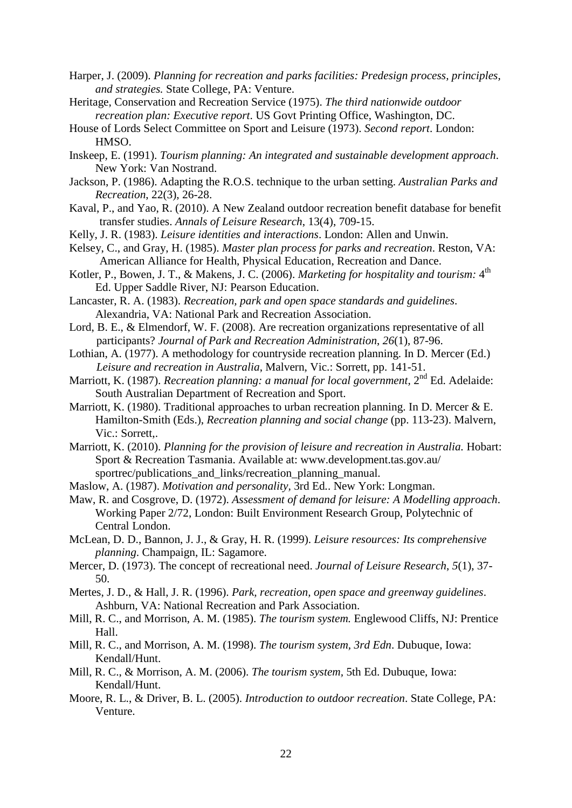- Harper, J. (2009). *Planning for recreation and parks facilities: Predesign process, principles, and strategies.* State College, PA: Venture.
- Heritage, Conservation and Recreation Service (1975). *The third nationwide outdoor recreation plan: Executive report*. US Govt Printing Office, Washington, DC.
- House of Lords Select Committee on Sport and Leisure (1973). *Second report*. London: HMSO.
- Inskeep, E. (1991). *Tourism planning: An integrated and sustainable development approach*. New York: Van Nostrand.
- Jackson, P. (1986). Adapting the R.O.S. technique to the urban setting. *Australian Parks and Recreation*, 22(3), 26-28.
- Kaval, P., and Yao, R. (2010). A New Zealand outdoor recreation benefit database for benefit transfer studies. *Annals of Leisure Research*, 13(4), 709-15.
- Kelly, J. R. (1983). *Leisure identities and interactions*. London: Allen and Unwin.
- Kelsey, C., and Gray, H. (1985). *Master plan process for parks and recreation*. Reston, VA: American Alliance for Health, Physical Education, Recreation and Dance.
- Kotler, P., Bowen, J. T., & Makens, J. C. (2006). *Marketing for hospitality and tourism:* 4th Ed. Upper Saddle River, NJ: Pearson Education.
- Lancaster, R. A. (1983). *Recreation, park and open space standards and guidelines*. Alexandria, VA: National Park and Recreation Association.
- Lord, B. E., & Elmendorf, W. F. (2008). Are recreation organizations representative of all participants? *Journal of Park and Recreation Administration*, *26*(1), 87-96.
- Lothian, A. (1977). A methodology for countryside recreation planning. In D. Mercer (Ed.) *Leisure and recreation in Australia*, Malvern, Vic.: Sorrett, pp. 141-51.
- Marriott, K. (1987). *Recreation planning: a manual for local government*, 2<sup>nd</sup> Ed. Adelaide: South Australian Department of Recreation and Sport.
- Marriott, K. (1980). Traditional approaches to urban recreation planning. In D. Mercer & E. Hamilton-Smith (Eds.), *Recreation planning and social change* (pp. 113-23). Malvern, Vic.: Sorrett,.
- Marriott, K. (2010). *Planning for the provision of leisure and recreation in Australia*. Hobart: Sport & Recreation Tasmania. Available at: www.development.tas.gov.au/ sportrec/publications and links/recreation planning manual.
- Maslow, A. (1987). *Motivation and personality,* 3rd Ed*.*. New York: Longman.
- Maw, R. and Cosgrove, D. (1972). *Assessment of demand for leisure: A Modelling approach*. Working Paper 2/72, London: Built Environment Research Group, Polytechnic of Central London.
- McLean, D. D., Bannon, J. J., & Gray, H. R. (1999). *Leisure resources: Its comprehensive planning*. Champaign, IL: Sagamore.
- Mercer, D. (1973). The concept of recreational need. *Journal of Leisure Research*, *5*(1), 37- 50.
- Mertes, J. D., & Hall, J. R. (1996). *Park, recreation, open space and greenway guidelines*. Ashburn, VA: National Recreation and Park Association.
- Mill, R. C., and Morrison, A. M. (1985). *The tourism system.* Englewood Cliffs, NJ: Prentice Hall.
- Mill, R. C., and Morrison, A. M. (1998). *The tourism system, 3rd Edn*. Dubuque, Iowa: Kendall/Hunt.
- Mill, R. C., & Morrison, A. M. (2006). *The tourism system,* 5th Ed. Dubuque, Iowa: Kendall/Hunt.
- Moore, R. L., & Driver, B. L. (2005). *Introduction to outdoor recreation*. State College, PA: Venture.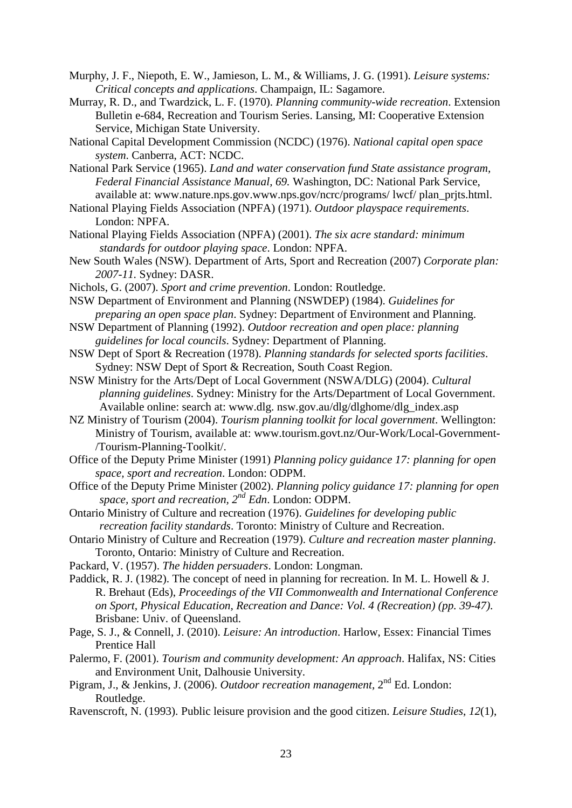- Murphy, J. F., Niepoth, E. W., Jamieson, L. M., & Williams, J. G. (1991). *Leisure systems: Critical concepts and applications*. Champaign, IL: Sagamore.
- Murray, R. D., and Twardzick, L. F. (1970). *Planning community-wide recreation*. Extension Bulletin e-684, Recreation and Tourism Series. Lansing, MI: Cooperative Extension Service, Michigan State University.
- National Capital Development Commission (NCDC) (1976). *National capital open space system*. Canberra, ACT: NCDC.
- National Park Service (1965). *Land and water conservation fund State assistance program, Federal Financial Assistance Manual, 69.* Washington, DC: National Park Service, available at: www.nature.nps.gov.www.nps.gov/ncrc/programs/ lwcf/ plan\_prjts.html.
- National Playing Fields Association (NPFA) (1971). *Outdoor playspace requirements*. London: NPFA.
- National Playing Fields Association (NPFA) (2001). *The six acre standard: minimum standards for outdoor playing space*. London: NPFA.
- New South Wales (NSW). Department of Arts, Sport and Recreation (2007) *Corporate plan: 2007-11.* Sydney: DASR.
- Nichols, G. (2007). *Sport and crime prevention*. London: Routledge.
- NSW Department of Environment and Planning (NSWDEP) (1984). *Guidelines for preparing an open space plan*. Sydney: Department of Environment and Planning.
- NSW Department of Planning (1992). *Outdoor recreation and open place: planning guidelines for local councils*. Sydney: Department of Planning.
- NSW Dept of Sport & Recreation (1978). *Planning standards for selected sports facilities*. Sydney: NSW Dept of Sport & Recreation, South Coast Region.
- NSW Ministry for the Arts/Dept of Local Government (NSWA/DLG) (2004). *Cultural planning guidelines*. Sydney: Ministry for the Arts/Department of Local Government. Available online: search at: www.dlg. nsw.gov.au/dlg/dlghome/dlg\_index.asp
- NZ Ministry of Tourism (2004). *Tourism planning toolkit for local government*. Wellington: Ministry of Tourism, available at: www.tourism.govt.nz/Our-Work/Local-Government- /Tourism-Planning-Toolkit/.
- Office of the Deputy Prime Minister (1991) *Planning policy guidance 17: planning for open space, sport and recreation*. London: ODPM.
- Office of the Deputy Prime Minister (2002). *Planning policy guidance 17: planning for open space, sport and recreation, 2nd Edn*. London: ODPM.
- Ontario Ministry of Culture and recreation (1976). *Guidelines for developing public recreation facility standards*. Toronto: Ministry of Culture and Recreation.
- Ontario Ministry of Culture and Recreation (1979). *Culture and recreation master planning*. Toronto, Ontario: Ministry of Culture and Recreation.
- Packard, V. (1957). *The hidden persuaders*. London: Longman.
- Paddick, R. J. (1982). The concept of need in planning for recreation. In M. L. Howell & J. R. Brehaut (Eds), *Proceedings of the VII Commonwealth and International Conference on Sport, Physical Education, Recreation and Dance: Vol. 4 (Recreation) (pp. 39-47)*. Brisbane: Univ. of Queensland.
- Page, S. J., & Connell, J. (2010). *Leisure: An introduction*. Harlow, Essex: Financial Times Prentice Hall
- Palermo, F. (2001). *Tourism and community development: An approach*. Halifax, NS: Cities and Environment Unit, Dalhousie University.
- Pigram, J., & Jenkins, J. (2006). *Outdoor recreation management*, 2<sup>nd</sup> Ed. London: Routledge.
- Ravenscroft, N. (1993). Public leisure provision and the good citizen. *Leisure Studies*, *12*(1),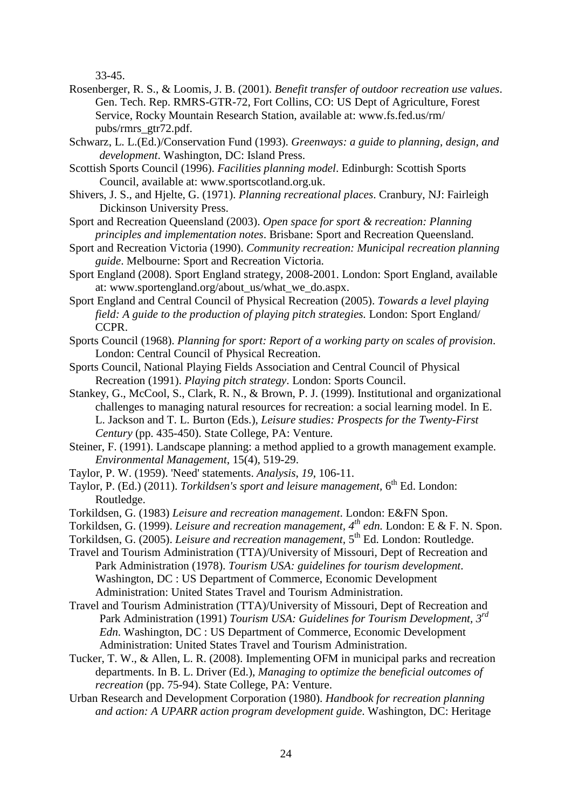33-45.

- Rosenberger, R. S., & Loomis, J. B. (2001). *Benefit transfer of outdoor recreation use values*. Gen. Tech. Rep. RMRS-GTR-72, Fort Collins, CO: US Dept of Agriculture, Forest Service, Rocky Mountain Research Station, available at: www.fs.fed.us/rm/ pubs/rmrs\_gtr72.pdf.
- Schwarz, L. L.(Ed.)/Conservation Fund (1993). *Greenways: a guide to planning, design, and development*. Washington, DC: Island Press.
- Scottish Sports Council (1996). *Facilities planning model*. Edinburgh: Scottish Sports Council, available at: www.sportscotland.org.uk.
- Shivers, J. S., and Hjelte, G. (1971). *Planning recreational places*. Cranbury, NJ: Fairleigh Dickinson University Press.
- Sport and Recreation Queensland (2003). *Open space for sport & recreation: Planning principles and implementation notes*. Brisbane: Sport and Recreation Queensland.
- Sport and Recreation Victoria (1990). *Community recreation: Municipal recreation planning guide*. Melbourne: Sport and Recreation Victoria.
- Sport England (2008). Sport England strategy, 2008-2001. London: Sport England, available at: www.sportengland.org/about\_us/what\_we\_do.aspx.
- Sport England and Central Council of Physical Recreation (2005). *Towards a level playing field: A guide to the production of playing pitch strategies.* London: Sport England/ CCPR.
- Sports Council (1968). *Planning for sport: Report of a working party on scales of provision*. London: Central Council of Physical Recreation.
- Sports Council, National Playing Fields Association and Central Council of Physical Recreation (1991). *Playing pitch strategy*. London: Sports Council.
- Stankey, G., McCool, S., Clark, R. N., & Brown, P. J. (1999). Institutional and organizational challenges to managing natural resources for recreation: a social learning model. In E. L. Jackson and T. L. Burton (Eds.), *Leisure studies: Prospects for the Twenty-First Century* (pp. 435-450). State College, PA: Venture.
- Steiner, F. (1991). Landscape planning: a method applied to a growth management example. *Environmental Management*, 15(4), 519-29.
- Taylor, P. W. (1959). 'Need' statements. *Analysis*, *19*, 106-11.
- Taylor, P. (Ed.) (2011). *Torkildsen's sport and leisure management*,  $6<sup>th</sup>$  Ed. London: Routledge.
- Torkildsen, G. (1983) *Leisure and recreation management*. London: E&FN Spon.
- Torkildsen, G. (1999). *Leisure and recreation management, 4th edn.* London: E & F. N. Spon.
- Torkildsen, G. (2005). *Leisure and recreation management*, 5<sup>th</sup> Ed. London: Routledge.
- Travel and Tourism Administration (TTA)/University of Missouri, Dept of Recreation and Park Administration (1978). *Tourism USA: guidelines for tourism development*. Washington, DC : US Department of Commerce, Economic Development Administration: United States Travel and Tourism Administration.
- Travel and Tourism Administration (TTA)/University of Missouri, Dept of Recreation and Park Administration (1991) *Tourism USA: Guidelines for Tourism Development, 3rd Edn*. Washington, DC : US Department of Commerce, Economic Development Administration: United States Travel and Tourism Administration.
- Tucker, T. W., & Allen, L. R. (2008). Implementing OFM in municipal parks and recreation departments. In B. L. Driver (Ed.), *Managing to optimize the beneficial outcomes of recreation* (pp. 75-94). State College, PA: Venture.
- Urban Research and Development Corporation (1980). *Handbook for recreation planning and action: A UPARR action program development guide*. Washington, DC: Heritage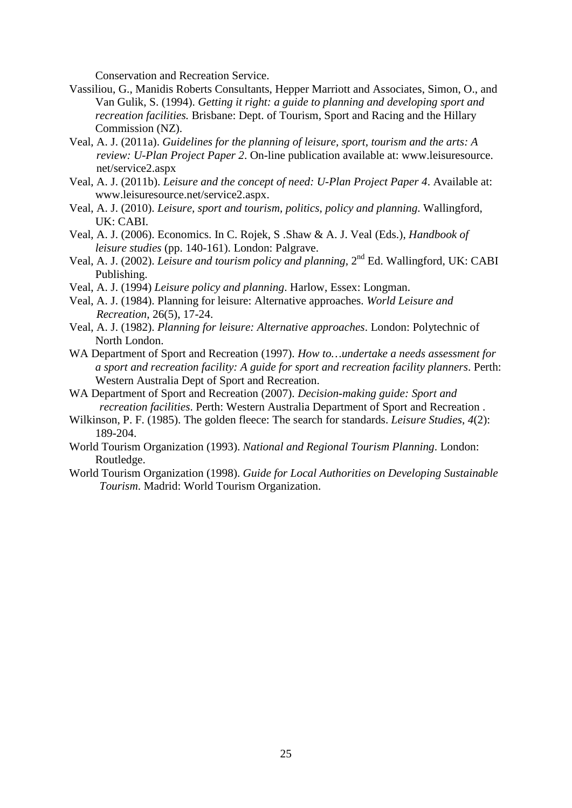Conservation and Recreation Service.

- Vassiliou, G., Manidis Roberts Consultants, Hepper Marriott and Associates, Simon, O., and Van Gulik, S. (1994). *Getting it right: a guide to planning and developing sport and recreation facilities.* Brisbane: Dept. of Tourism, Sport and Racing and the Hillary Commission (NZ).
- Veal, A. J. (2011a). *Guidelines for the planning of leisure, sport, tourism and the arts: A review: U-Plan Project Paper 2*. On-line publication available at: www.leisuresource. net/service2.aspx
- Veal, A. J. (2011b). *Leisure and the concept of need: U-Plan Project Paper 4*. Available at: www.leisuresource.net/service2.aspx.
- Veal, A. J. (2010). *Leisure, sport and tourism, politics, policy and planning*. Wallingford, UK: CABI.
- Veal, A. J. (2006). Economics. In C. Rojek, S .Shaw & A. J. Veal (Eds.), *Handbook of leisure studies* (pp. 140-161). London: Palgrave.
- Veal, A. J. (2002). *Leisure and tourism policy and planning,* 2nd Ed. Wallingford, UK: CABI Publishing.
- Veal, A. J. (1994) *Leisure policy and planning*. Harlow, Essex: Longman.
- Veal, A. J. (1984). Planning for leisure: Alternative approaches. *World Leisure and Recreation*, 26(5), 17-24.
- Veal, A. J. (1982). *Planning for leisure: Alternative approaches*. London: Polytechnic of North London.
- WA Department of Sport and Recreation (1997). *How to…undertake a needs assessment for a sport and recreation facility: A guide for sport and recreation facility planners*. Perth: Western Australia Dept of Sport and Recreation.
- WA Department of Sport and Recreation (2007). *Decision-making guide: Sport and recreation facilities*. Perth: Western Australia Department of Sport and Recreation .
- Wilkinson, P. F. (1985). The golden fleece: The search for standards. *Leisure Studies*, *4*(2): 189-204.
- World Tourism Organization (1993). *National and Regional Tourism Planning*. London: Routledge.
- World Tourism Organization (1998). *Guide for Local Authorities on Developing Sustainable Tourism*. Madrid: World Tourism Organization.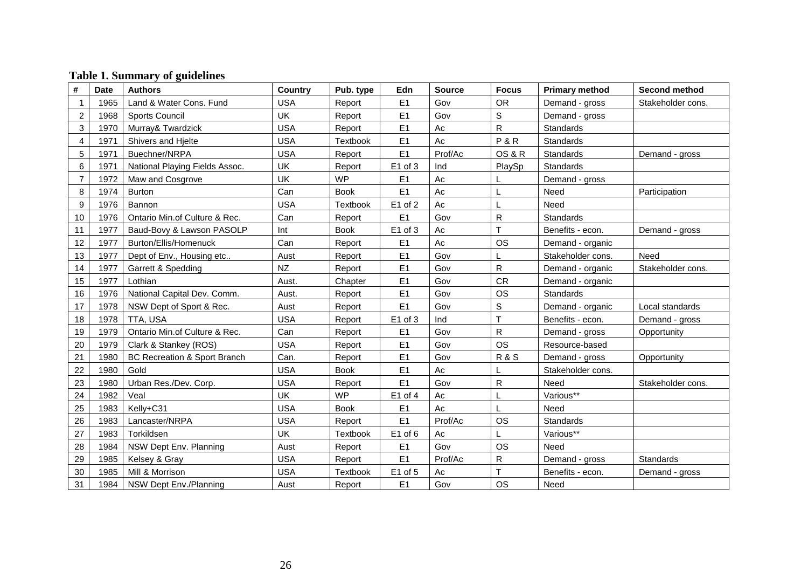# **Table 1. Summary of guidelines**

| #              | <b>Date</b> | <b>Authors</b>                 | <b>Country</b> | Pub. type       | Edn            | <b>Source</b> | <b>Focus</b>      | <b>Primary method</b> | <b>Second method</b> |
|----------------|-------------|--------------------------------|----------------|-----------------|----------------|---------------|-------------------|-----------------------|----------------------|
| $\mathbf{1}$   | 1965        | Land & Water Cons. Fund        | <b>USA</b>     | Report          | E1             | Gov           | <b>OR</b>         | Demand - gross        | Stakeholder cons.    |
| $\sqrt{2}$     | 1968        | <b>Sports Council</b>          | UK             | Report          | E1             | Gov           | S                 | Demand - gross        |                      |
| 3              | 1970        | Murray& Twardzick              | <b>USA</b>     | Report          | E1             | Ac            | R                 | Standards             |                      |
| $\overline{4}$ | 1971        | Shivers and Hjelte             | <b>USA</b>     | Textbook        | E1             | Ac            | P & R             | Standards             |                      |
| $\overline{5}$ | 1971        | Buechner/NRPA                  | <b>USA</b>     | Report          | E1             | Prof/Ac       | <b>OS &amp; R</b> | Standards             | Demand - gross       |
| $6\phantom{a}$ | 1971        | National Playing Fields Assoc. | UK             | Report          | E1 of 3        | Ind           | PlaySp            | Standards             |                      |
| $\overline{7}$ | 1972        | Maw and Cosgrove               | UK             | <b>WP</b>       | E1             | Ac            |                   | Demand - gross        |                      |
| 8              | 1974        | <b>Burton</b>                  | Can            | <b>Book</b>     | E1             | Ac            |                   | Need                  | Participation        |
| 9              | 1976        | Bannon                         | <b>USA</b>     | Textbook        | E1 of 2        | Ac            | L                 | Need                  |                      |
| 10             | 1976        | Ontario Min.of Culture & Rec.  | Can            | Report          | E1             | Gov           | R                 | Standards             |                      |
| 11             | 1977        | Baud-Bovy & Lawson PASOLP      | Int            | <b>Book</b>     | E1 of 3        | Ac            | T                 | Benefits - econ.      | Demand - gross       |
| 12             | 1977        | Burton/Ellis/Homenuck          | Can            | Report          | E <sub>1</sub> | Ac            | <b>OS</b>         | Demand - organic      |                      |
| 13             | 1977        | Dept of Env., Housing etc      | Aust           | Report          | E1             | Gov           |                   | Stakeholder cons.     | Need                 |
| 14             | 1977        | Garrett & Spedding             | <b>NZ</b>      | Report          | E1             | Gov           | ${\sf R}$         | Demand - organic      | Stakeholder cons.    |
| 15             | 1977        | Lothian                        | Aust.          | Chapter         | E1             | Gov           | <b>CR</b>         | Demand - organic      |                      |
| 16             | 1976        | National Capital Dev. Comm.    | Aust.          | Report          | E1             | Gov           | <b>OS</b>         | <b>Standards</b>      |                      |
| 17             | 1978        | NSW Dept of Sport & Rec.       | Aust           | Report          | E1             | Gov           | S                 | Demand - organic      | Local standards      |
| 18             | 1978        | TTA, USA                       | <b>USA</b>     | Report          | E1 of 3        | Ind           | $\mathsf{T}$      | Benefits - econ.      | Demand - gross       |
| 19             | 1979        | Ontario Min.of Culture & Rec.  | Can            | Report          | E1             | Gov           | R                 | Demand - gross        | Opportunity          |
| 20             | 1979        | Clark & Stankey (ROS)          | <b>USA</b>     | Report          | E1             | Gov           | <b>OS</b>         | Resource-based        |                      |
| 21             | 1980        | BC Recreation & Sport Branch   | Can.           | Report          | E1             | Gov           | R&S               | Demand - gross        | Opportunity          |
| 22             | 1980        | Gold                           | <b>USA</b>     | <b>Book</b>     | E1             | Ac            |                   | Stakeholder cons.     |                      |
| 23             | 1980        | Urban Res./Dev. Corp.          | <b>USA</b>     | Report          | E1             | Gov           | $\mathsf{R}$      | Need                  | Stakeholder cons.    |
| 24             | 1982        | Veal                           | UK             | <b>WP</b>       | E1 of 4        | Ac            |                   | Various**             |                      |
| 25             | 1983        | Kelly+C31                      | <b>USA</b>     | <b>Book</b>     | E1             | Ac            |                   | Need                  |                      |
| 26             | 1983        | Lancaster/NRPA                 | <b>USA</b>     | Report          | E1             | Prof/Ac       | <b>OS</b>         | Standards             |                      |
| 27             | 1983        | Torkildsen                     | UK             | <b>Textbook</b> | E1 of 6        | Ac            |                   | Various**             |                      |
| 28             | 1984        | NSW Dept Env. Planning         | Aust           | Report          | E1             | Gov           | <b>OS</b>         | Need                  |                      |
| 29             | 1985        | Kelsey & Gray                  | <b>USA</b>     | Report          | E1             | Prof/Ac       | R                 | Demand - gross        | Standards            |
| 30             | 1985        | Mill & Morrison                | <b>USA</b>     | Textbook        | E1 of 5        | Ac            | $\overline{T}$    | Benefits - econ.      | Demand - gross       |
| 31             | 1984        | NSW Dept Env./Planning         | Aust           | Report          | E1             | Gov           | <b>OS</b>         | Need                  |                      |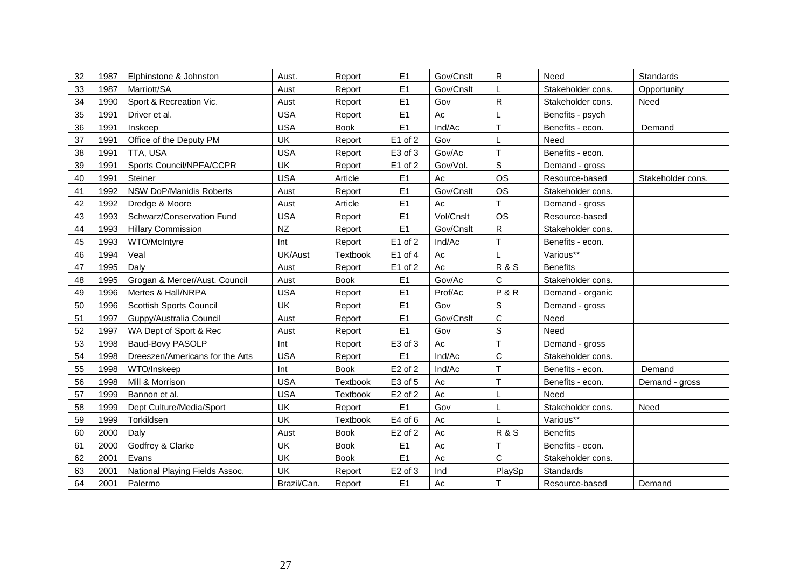| 32 | 1987 | Elphinstone & Johnston          | Aust.       | Report      | E1                  | Gov/Cnslt | R              | Need              | Standards         |
|----|------|---------------------------------|-------------|-------------|---------------------|-----------|----------------|-------------------|-------------------|
| 33 | 1987 | Marriott/SA                     | Aust        | Report      | E1                  | Gov/Cnslt |                | Stakeholder cons. | Opportunity       |
| 34 | 1990 | Sport & Recreation Vic.         | Aust        | Report      | E1                  | Gov       | R              | Stakeholder cons. | Need              |
| 35 | 1991 | Driver et al.                   | <b>USA</b>  | Report      | E1                  | Ac        | L              | Benefits - psych  |                   |
| 36 | 1991 | Inskeep                         | <b>USA</b>  | <b>Book</b> | E1                  | Ind/Ac    | T              | Benefits - econ.  | Demand            |
| 37 | 1991 | Office of the Deputy PM         | UK          | Report      | E1 of 2             | Gov       |                | Need              |                   |
| 38 | 1991 | TTA, USA                        | <b>USA</b>  | Report      | E <sub>3</sub> of 3 | Gov/Ac    | T              | Benefits - econ.  |                   |
| 39 | 1991 | Sports Council/NPFA/CCPR        | UK          | Report      | E1 of 2             | Gov/Vol.  | S              | Demand - gross    |                   |
| 40 | 1991 | Steiner                         | <b>USA</b>  | Article     | E1                  | Ac        | <b>OS</b>      | Resource-based    | Stakeholder cons. |
| 41 | 1992 | <b>NSW DoP/Manidis Roberts</b>  | Aust        | Report      | E1                  | Gov/Cnslt | <b>OS</b>      | Stakeholder cons. |                   |
| 42 | 1992 | Dredge & Moore                  | Aust        | Article     | E1                  | Ac        | T.             | Demand - gross    |                   |
| 43 | 1993 | Schwarz/Conservation Fund       | <b>USA</b>  | Report      | E1                  | Vol/Cnslt | <b>OS</b>      | Resource-based    |                   |
| 44 | 1993 | <b>Hillary Commission</b>       | <b>NZ</b>   | Report      | E1                  | Gov/Cnslt | R              | Stakeholder cons. |                   |
| 45 | 1993 | WTO/McIntyre                    | Int         | Report      | E1 of 2             | Ind/Ac    | T              | Benefits - econ.  |                   |
| 46 | 1994 | Veal                            | UK/Aust     | Textbook    | E1 of 4             | Ac        |                | Various**         |                   |
| 47 | 1995 | Daly                            | Aust        | Report      | E1 of 2             | Ac        | <b>R&amp;S</b> | <b>Benefits</b>   |                   |
| 48 | 1995 | Grogan & Mercer/Aust. Council   | Aust        | Book        | E1                  | Gov/Ac    | C              | Stakeholder cons. |                   |
| 49 | 1996 | Mertes & Hall/NRPA              | <b>USA</b>  | Report      | E1                  | Prof/Ac   | P&R            | Demand - organic  |                   |
| 50 | 1996 | Scottish Sports Council         | <b>UK</b>   | Report      | E1                  | Gov       | S              | Demand - gross    |                   |
| 51 | 1997 | Guppy/Australia Council         | Aust        | Report      | E1                  | Gov/Cnslt | C              | Need              |                   |
| 52 | 1997 | WA Dept of Sport & Rec          | Aust        | Report      | E1                  | Gov       | S              | Need              |                   |
| 53 | 1998 | Baud-Bovy PASOLP                | Int         | Report      | E3 of 3             | Ac        | $\overline{T}$ | Demand - gross    |                   |
| 54 | 1998 | Dreeszen/Americans for the Arts | <b>USA</b>  | Report      | E1                  | Ind/Ac    | C              | Stakeholder cons. |                   |
| 55 | 1998 | WTO/Inskeep                     | Int         | <b>Book</b> | E2 of 2             | Ind/Ac    | T              | Benefits - econ.  | Demand            |
| 56 | 1998 | Mill & Morrison                 | <b>USA</b>  | Textbook    | E <sub>3</sub> of 5 | Ac        | T              | Benefits - econ.  | Demand - gross    |
| 57 | 1999 | Bannon et al.                   | <b>USA</b>  | Textbook    | E <sub>2</sub> of 2 | Ac        |                | Need              |                   |
| 58 | 1999 | Dept Culture/Media/Sport        | UK          | Report      | E1                  | Gov       |                | Stakeholder cons. | Need              |
| 59 | 1999 | Torkildsen                      | UK          | Textbook    | E4 of 6             | Ac        |                | Various**         |                   |
| 60 | 2000 | Daly                            | Aust        | <b>Book</b> | $E2$ of 2           | Ac        | <b>R&amp;S</b> | <b>Benefits</b>   |                   |
| 61 | 2000 | Godfrey & Clarke                | <b>UK</b>   | <b>Book</b> | E1                  | Ac        | T              | Benefits - econ.  |                   |
| 62 | 2001 | Evans                           | <b>UK</b>   | <b>Book</b> | E1                  | Ac        | $\mathsf{C}$   | Stakeholder cons. |                   |
| 63 | 2001 | National Playing Fields Assoc.  | UK          | Report      | E2 of 3             | Ind       | PlaySp         | Standards         |                   |
| 64 | 2001 | Palermo                         | Brazil/Can. | Report      | E1                  | Ac        | T              | Resource-based    | Demand            |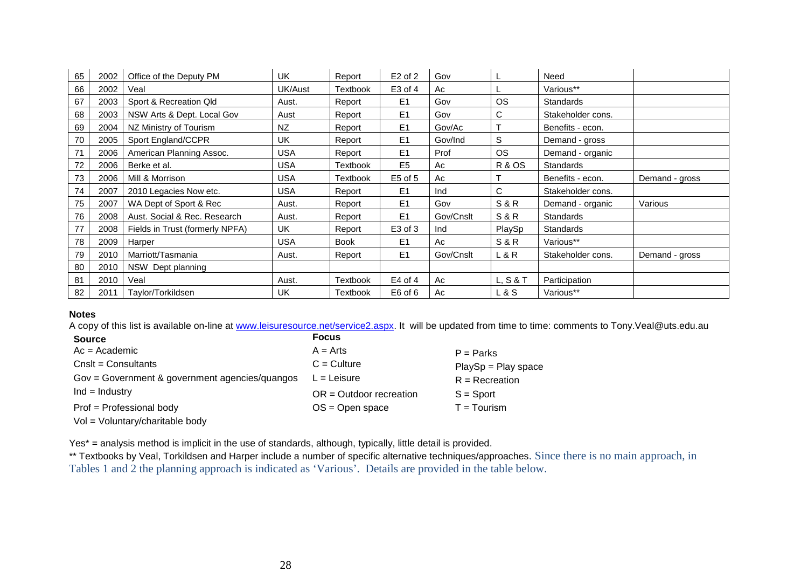| 65 | 2002 | Office of the Deputy PM         | UK         | Report      | $E2$ of 2           | Gov       |                   | Need              |                |
|----|------|---------------------------------|------------|-------------|---------------------|-----------|-------------------|-------------------|----------------|
| 66 | 2002 | Veal                            | UK/Aust    | Textbook    | $E3$ of 4           | Ac        |                   | Various**         |                |
| 67 | 2003 | Sport & Recreation Qld          | Aust.      | Report      | E <sub>1</sub>      | Gov       | <b>OS</b>         | <b>Standards</b>  |                |
| 68 | 2003 | NSW Arts & Dept. Local Gov      | Aust       | Report      | E1                  | Gov       | C                 | Stakeholder cons. |                |
| 69 | 2004 | NZ Ministry of Tourism          | NZ         | Report      | E1                  | Gov/Ac    |                   | Benefits - econ.  |                |
| 70 | 2005 | Sport England/CCPR              | <b>UK</b>  | Report      | E <sub>1</sub>      | Gov/Ind   | S                 | Demand - gross    |                |
| 71 | 2006 | American Planning Assoc.        | <b>USA</b> | Report      | E1                  | Prof      | <b>OS</b>         | Demand - organic  |                |
| 72 | 2006 | Berke et al.                    | <b>USA</b> | Textbook    | E <sub>5</sub>      | Ac        | <b>R &amp; OS</b> | <b>Standards</b>  |                |
| 73 | 2006 | Mill & Morrison                 | <b>USA</b> | Textbook    | $E5$ of $5$         | Ac        |                   | Benefits - econ.  | Demand - gross |
| 74 | 2007 | 2010 Legacies Now etc.          | <b>USA</b> | Report      | E <sub>1</sub>      | Ind       | C                 | Stakeholder cons. |                |
| 75 | 2007 | WA Dept of Sport & Rec          | Aust.      | Report      | E1                  | Gov       | S&R               | Demand - organic  | Various        |
| 76 | 2008 | Aust. Social & Rec. Research    | Aust.      | Report      | E1                  | Gov/Cnslt | S&R               | <b>Standards</b>  |                |
| 77 | 2008 | Fields in Trust (formerly NPFA) | <b>UK</b>  | Report      | E <sub>3</sub> of 3 | Ind       | PlaySp            | <b>Standards</b>  |                |
| 78 | 2009 | Harper                          | <b>USA</b> | <b>Book</b> | E1                  | Ac        | S&R               | Various**         |                |
| 79 | 2010 | Marriott/Tasmania               | Aust.      | Report      | E1                  | Gov/Cnslt | L & R             | Stakeholder cons. | Demand - gross |
| 80 | 2010 | NSW Dept planning               |            |             |                     |           |                   |                   |                |
| 81 | 2010 | Veal                            | Aust.      | Textbook    | E4 of 4             | Ac        | L, S & T          | Participation     |                |
| 82 | 2011 | Taylor/Torkildsen               | UK         | Textbook    | E6 of 6             | Ac        | L & S             | Various**         |                |

#### **Notes**

A copy of this list is available on-line at [www.leisuresource.net/service2.aspx.](http://www.leisuresource.net/service2.aspx) It will be updated from time to time: comments to Tony.Veal@uts.edu.au

| <b>Focus</b>              |                       |
|---------------------------|-----------------------|
| $A = Arts$                | $P =$ Parks           |
| $C =$ Culture             | $PlaySp = Play space$ |
| $L =$ Leisure             | $R = Recreaction$     |
| $OR = Outdoor$ recreation | $S =$ Sport           |
| $OS = Open space$         | $T = Tourism$         |
|                           |                       |

Vol = Voluntary/charitable body

Yes\* = analysis method is implicit in the use of standards, although, typically, little detail is provided.

\*\* Textbooks by Veal, Torkildsen and Harper include a number of specific alternative techniques/approaches. Since there is no main approach, in Tables 1 and 2 the planning approach is indicated as 'Various'. Details are provided in the table below.